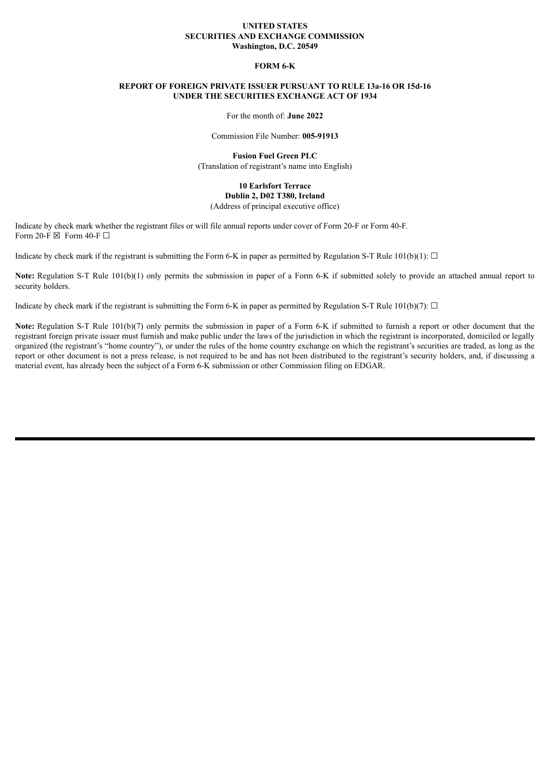#### **UNITED STATES SECURITIES AND EXCHANGE COMMISSION Washington, D.C. 20549**

## **FORM 6-K**

# **REPORT OF FOREIGN PRIVATE ISSUER PURSUANT TO RULE 13a-16 OR 15d-16 UNDER THE SECURITIES EXCHANGE ACT OF 1934**

For the month of: **June 2022**

Commission File Number: **005-91913**

**Fusion Fuel Green PLC** (Translation of registrant's name into English)

## **10 Earlsfort Terrace Dublin 2, D02 T380, Ireland** (Address of principal executive office)

Indicate by check mark whether the registrant files or will file annual reports under cover of Form 20-F or Form 40-F. Form 20-F  $\boxtimes$  Form 40-F  $\Box$ 

Indicate by check mark if the registrant is submitting the Form 6-K in paper as permitted by Regulation S-T Rule 101(b)(1):  $\Box$ 

**Note:** Regulation S-T Rule 101(b)(1) only permits the submission in paper of a Form 6-K if submitted solely to provide an attached annual report to security holders.

Indicate by check mark if the registrant is submitting the Form 6-K in paper as permitted by Regulation S-T Rule 101(b)(7):  $\Box$ 

**Note:** Regulation S-T Rule 101(b)(7) only permits the submission in paper of a Form 6-K if submitted to furnish a report or other document that the registrant foreign private issuer must furnish and make public under the laws of the jurisdiction in which the registrant is incorporated, domiciled or legally organized (the registrant's "home country"), or under the rules of the home country exchange on which the registrant's securities are traded, as long as the report or other document is not a press release, is not required to be and has not been distributed to the registrant's security holders, and, if discussing a material event, has already been the subject of a Form 6-K submission or other Commission filing on EDGAR.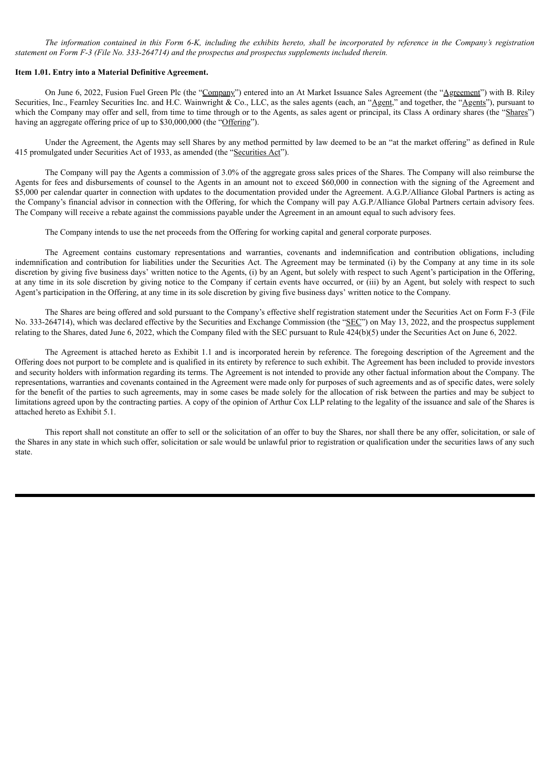The information contained in this Form 6-K, including the exhibits hereto, shall be incorporated by reference in the Company's registration *statement on Form F-3 (File No. 333-264714) and the prospectus and prospectus supplements included therein.*

#### **Item 1.01. Entry into a Material Definitive Agreement.**

On June 6, 2022, Fusion Fuel Green Plc (the "Company") entered into an At Market Issuance Sales Agreement (the "Agreement") with B. Riley Securities, Inc., Fearnley Securities Inc. and H.C. Wainwright & Co., LLC, as the sales agents (each, an "Agent," and together, the "Agents"), pursuant to which the Company may offer and sell, from time to time through or to the Agents, as sales agent or principal, its Class A ordinary shares (the "Shares") having an aggregate offering price of up to \$30,000,000 (the "Offering").

Under the Agreement, the Agents may sell Shares by any method permitted by law deemed to be an "at the market offering" as defined in Rule 415 promulgated under Securities Act of 1933, as amended (the "Securities Act").

The Company will pay the Agents a commission of 3.0% of the aggregate gross sales prices of the Shares. The Company will also reimburse the Agents for fees and disbursements of counsel to the Agents in an amount not to exceed \$60,000 in connection with the signing of the Agreement and \$5,000 per calendar quarter in connection with updates to the documentation provided under the Agreement. A.G.P./Alliance Global Partners is acting as the Company's financial advisor in connection with the Offering, for which the Company will pay A.G.P./Alliance Global Partners certain advisory fees. The Company will receive a rebate against the commissions payable under the Agreement in an amount equal to such advisory fees.

The Company intends to use the net proceeds from the Offering for working capital and general corporate purposes.

The Agreement contains customary representations and warranties, covenants and indemnification and contribution obligations, including indemnification and contribution for liabilities under the Securities Act. The Agreement may be terminated (i) by the Company at any time in its sole discretion by giving five business days' written notice to the Agents, (i) by an Agent, but solely with respect to such Agent's participation in the Offering, at any time in its sole discretion by giving notice to the Company if certain events have occurred, or (iii) by an Agent, but solely with respect to such Agent's participation in the Offering, at any time in its sole discretion by giving five business days' written notice to the Company.

The Shares are being offered and sold pursuant to the Company's effective shelf registration statement under the Securities Act on Form F-3 (File No. 333-264714), which was declared effective by the Securities and Exchange Commission (the "SEC") on May 13, 2022, and the prospectus supplement relating to the Shares, dated June 6, 2022, which the Company filed with the SEC pursuant to Rule 424(b)(5) under the Securities Act on June 6, 2022.

The Agreement is attached hereto as Exhibit 1.1 and is incorporated herein by reference. The foregoing description of the Agreement and the Offering does not purport to be complete and is qualified in its entirety by reference to such exhibit. The Agreement has been included to provide investors and security holders with information regarding its terms. The Agreement is not intended to provide any other factual information about the Company. The representations, warranties and covenants contained in the Agreement were made only for purposes of such agreements and as of specific dates, were solely for the benefit of the parties to such agreements, may in some cases be made solely for the allocation of risk between the parties and may be subject to limitations agreed upon by the contracting parties. A copy of the opinion of Arthur Cox LLP relating to the legality of the issuance and sale of the Shares is attached hereto as Exhibit 5.1.

This report shall not constitute an offer to sell or the solicitation of an offer to buy the Shares, nor shall there be any offer, solicitation, or sale of the Shares in any state in which such offer, solicitation or sale would be unlawful prior to registration or qualification under the securities laws of any such state.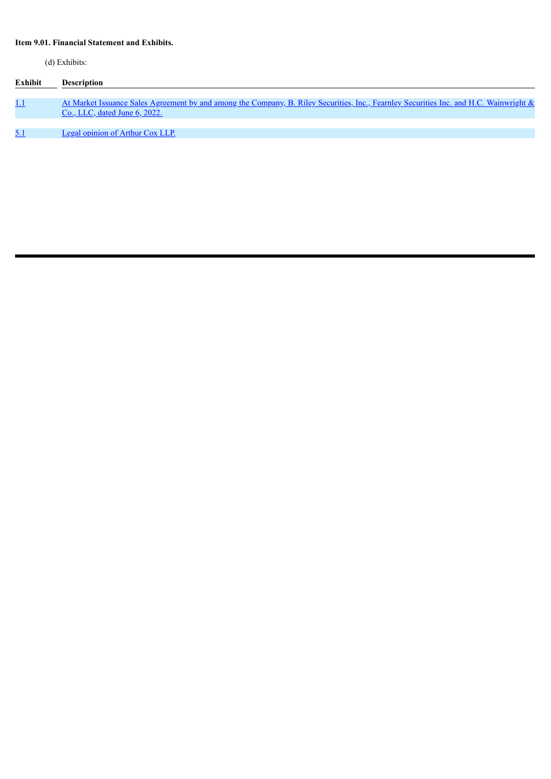# **Item 9.01. Financial Statement and Exhibits.**

(d) Exhibits:

| Exhibit    | <b>Description</b>                                                                                                                                                             |
|------------|--------------------------------------------------------------------------------------------------------------------------------------------------------------------------------|
|            |                                                                                                                                                                                |
| <u>1.1</u> | At Market Issuance Sales Agreement by and among the Company, B. Riley Securities, Inc., Fearnley Securities Inc. and H.C. Wainwright &<br><u>Co., LLC, dated June 6, 2022.</u> |
|            |                                                                                                                                                                                |
| 5.1        | <b>Legal opinion of Arthur Cox LLP.</b>                                                                                                                                        |
|            |                                                                                                                                                                                |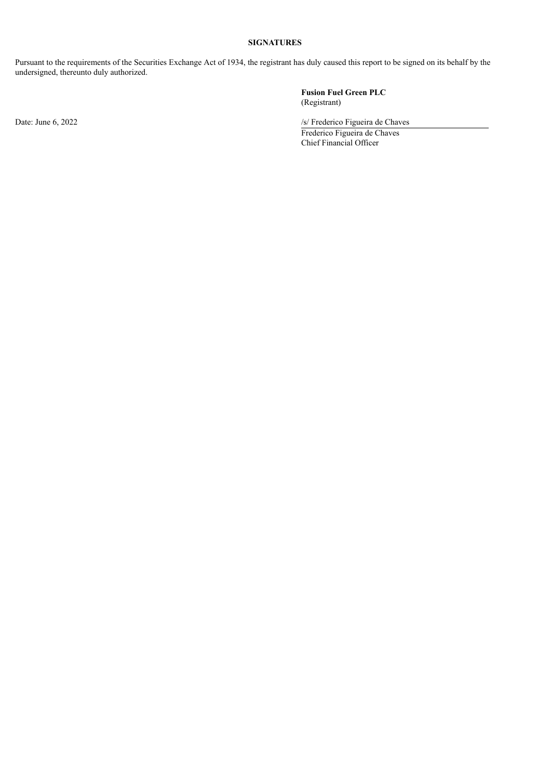# **SIGNATURES**

Pursuant to the requirements of the Securities Exchange Act of 1934, the registrant has duly caused this report to be signed on its behalf by the undersigned, thereunto duly authorized.

**Fusion Fuel Green PLC** (Registrant)

Date: June 6, 2022 /s/ Frederico Figueira de Chaves

Frederico Figueira de Chaves Chief Financial Officer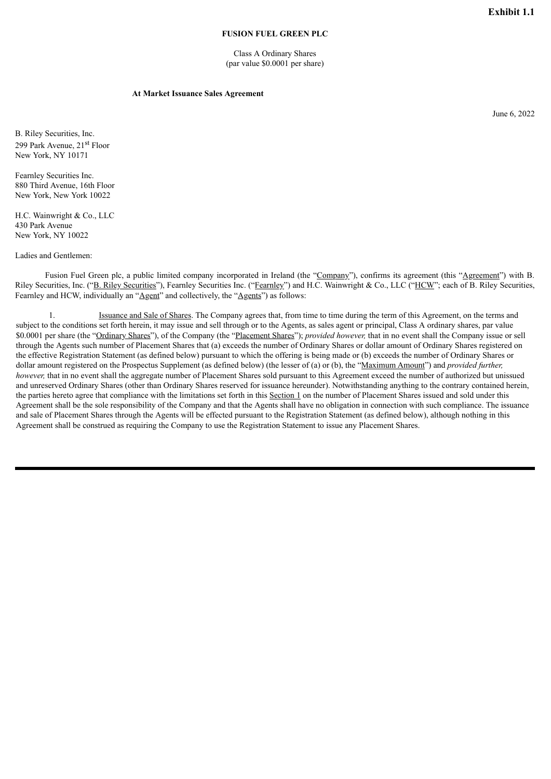## **FUSION FUEL GREEN PLC**

Class A Ordinary Shares (par value \$0.0001 per share)

#### **At Market Issuance Sales Agreement**

June 6, 2022

<span id="page-4-0"></span>B. Riley Securities, Inc. 299 Park Avenue, 21<sup>st</sup> Floor New York, NY 10171

Fearnley Securities Inc. 880 Third Avenue, 16th Floor New York, New York 10022

H.C. Wainwright & Co., LLC 430 Park Avenue New York, NY 10022

Ladies and Gentlemen:

Fusion Fuel Green plc, a public limited company incorporated in Ireland (the "Company"), confirms its agreement (this "Agreement") with B. Riley Securities, Inc. ("B. Riley Securities"), Fearnley Securities Inc. ("Fearnley") and H.C. Wainwright & Co., LLC ("HCW"; each of B. Riley Securities, Fearnley and HCW, individually an "Agent" and collectively, the "Agents" as follows:

1. Issuance and Sale of Shares. The Company agrees that, from time to time during the term of this Agreement, on the terms and subject to the conditions set forth herein, it may issue and sell through or to the Agents, as sales agent or principal, Class A ordinary shares, par value \$0.0001 per share (the "Ordinary Shares"), of the Company (the "Placement Shares"); *provided however,* that in no event shall the Company issue or sell through the Agents such number of Placement Shares that (a) exceeds the number of Ordinary Shares or dollar amount of Ordinary Shares registered on the effective Registration Statement (as defined below) pursuant to which the offering is being made or (b) exceeds the number of Ordinary Shares or dollar amount registered on the Prospectus Supplement (as defined below) (the lesser of (a) or (b), the "Maximum Amount") and *provided further, however,* that in no event shall the aggregate number of Placement Shares sold pursuant to this Agreement exceed the number of authorized but unissued and unreserved Ordinary Shares (other than Ordinary Shares reserved for issuance hereunder). Notwithstanding anything to the contrary contained herein, the parties hereto agree that compliance with the limitations set forth in this Section 1 on the number of Placement Shares issued and sold under this Agreement shall be the sole responsibility of the Company and that the Agents shall have no obligation in connection with such compliance. The issuance and sale of Placement Shares through the Agents will be effected pursuant to the Registration Statement (as defined below), although nothing in this Agreement shall be construed as requiring the Company to use the Registration Statement to issue any Placement Shares.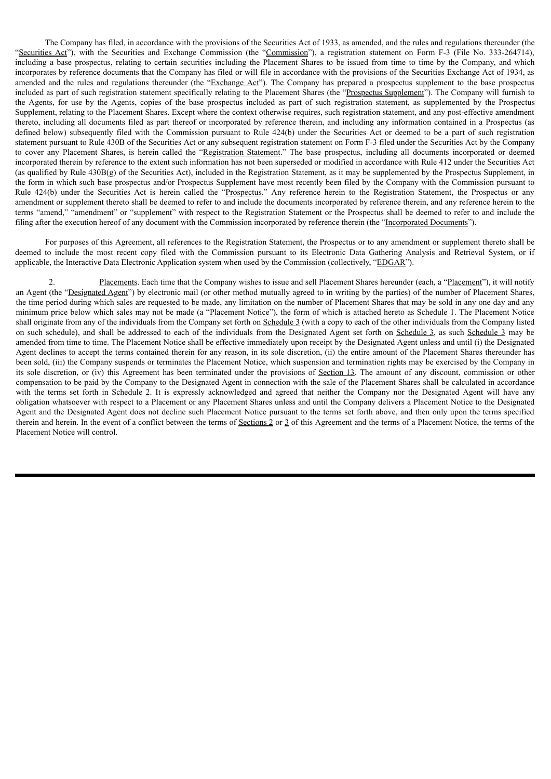The Company has filed, in accordance with the provisions of the Securities Act of 1933, as amended, and the rules and regulations thereunder (the "Securities Act"), with the Securities and Exchange Commission (the "Commission"), a registration statement on Form F-3 (File No. 333-264714), including a base prospectus, relating to certain securities including the Placement Shares to be issued from time to time by the Company, and which incorporates by reference documents that the Company has filed or will file in accordance with the provisions of the Securities Exchange Act of 1934, as amended and the rules and regulations thereunder (the "Exchange  $Act$ "). The Company has prepared a prospectus supplement to the base prospectus included as part of such registration statement specifically relating to the Placement Shares (the "Prospectus Supplement"). The Company will furnish to the Agents, for use by the Agents, copies of the base prospectus included as part of such registration statement, as supplemented by the Prospectus Supplement, relating to the Placement Shares. Except where the context otherwise requires, such registration statement, and any post-effective amendment thereto, including all documents filed as part thereof or incorporated by reference therein, and including any information contained in a Prospectus (as defined below) subsequently filed with the Commission pursuant to Rule 424(b) under the Securities Act or deemed to be a part of such registration statement pursuant to Rule 430B of the Securities Act or any subsequent registration statement on Form F-3 filed under the Securities Act by the Company to cover any Placement Shares, is herein called the "Registration Statement." The base prospectus, including all documents incorporated or deemed incorporated therein by reference to the extent such information has not been superseded or modified in accordance with Rule 412 under the Securities Act (as qualified by Rule 430B(g) of the Securities Act), included in the Registration Statement, as it may be supplemented by the Prospectus Supplement, in the form in which such base prospectus and/or Prospectus Supplement have most recently been filed by the Company with the Commission pursuant to Rule 424(b) under the Securities Act is herein called the "Prospectus." Any reference herein to the Registration Statement, the Prospectus or any amendment or supplement thereto shall be deemed to refer to and include the documents incorporated by reference therein, and any reference herein to the terms "amend," "amendment" or "supplement" with respect to the Registration Statement or the Prospectus shall be deemed to refer to and include the filing after the execution hereof of any document with the Commission incorporated by reference therein (the "Incorporated Documents").

For purposes of this Agreement, all references to the Registration Statement, the Prospectus or to any amendment or supplement thereto shall be deemed to include the most recent copy filed with the Commission pursuant to its Electronic Data Gathering Analysis and Retrieval System, or if applicable, the Interactive Data Electronic Application system when used by the Commission (collectively, "EDGAR").

2. Placements. Each time that the Company wishes to issue and sell Placement Shares hereunder (each, a "Placement"), it will notify an Agent (the "Designated Agent") by electronic mail (or other method mutually agreed to in writing by the parties) of the number of Placement Shares, the time period during which sales are requested to be made, any limitation on the number of Placement Shares that may be sold in any one day and any minimum price below which sales may not be made (a "Placement Notice"), the form of which is attached hereto as Schedule 1. The Placement Notice shall originate from any of the individuals from the Company set forth on Schedule 3 (with a copy to each of the other individuals from the Company listed on such schedule), and shall be addressed to each of the individuals from the Designated Agent set forth on Schedule 3, as such Schedule 3 may be amended from time to time. The Placement Notice shall be effective immediately upon receipt by the Designated Agent unless and until (i) the Designated Agent declines to accept the terms contained therein for any reason, in its sole discretion, (ii) the entire amount of the Placement Shares thereunder has been sold, (iii) the Company suspends or terminates the Placement Notice, which suspension and termination rights may be exercised by the Company in its sole discretion, or (iv) this Agreement has been terminated under the provisions of Section 13. The amount of any discount, commission or other compensation to be paid by the Company to the Designated Agent in connection with the sale of the Placement Shares shall be calculated in accordance with the terms set forth in Schedule 2. It is expressly acknowledged and agreed that neither the Company nor the Designated Agent will have any obligation whatsoever with respect to a Placement or any Placement Shares unless and until the Company delivers a Placement Notice to the Designated Agent and the Designated Agent does not decline such Placement Notice pursuant to the terms set forth above, and then only upon the terms specified therein and herein. In the event of a conflict between the terms of Sections 2 or 3 of this Agreement and the terms of a Placement Notice, the terms of the Placement Notice will control.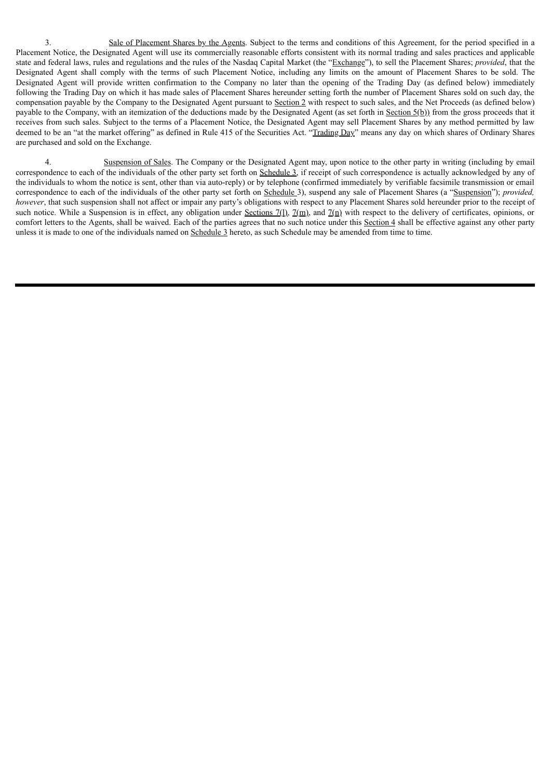3. Sale of Placement Shares by the Agents. Subject to the terms and conditions of this Agreement, for the period specified in a Placement Notice, the Designated Agent will use its commercially reasonable efforts consistent with its normal trading and sales practices and applicable state and federal laws, rules and regulations and the rules of the Nasdaq Capital Market (the "Exchange"), to sell the Placement Shares; *provided*, that the Designated Agent shall comply with the terms of such Placement Notice, including any limits on the amount of Placement Shares to be sold. The Designated Agent will provide written confirmation to the Company no later than the opening of the Trading Day (as defined below) immediately following the Trading Day on which it has made sales of Placement Shares hereunder setting forth the number of Placement Shares sold on such day, the compensation payable by the Company to the Designated Agent pursuant to Section 2 with respect to such sales, and the Net Proceeds (as defined below) payable to the Company, with an itemization of the deductions made by the Designated Agent (as set forth in  $Section 5(b)$ ) from the gross proceeds that it receives from such sales. Subject to the terms of a Placement Notice, the Designated Agent may sell Placement Shares by any method permitted by law deemed to be an "at the market offering" as defined in Rule 415 of the Securities Act. "Trading Day" means any day on which shares of Ordinary Shares are purchased and sold on the Exchange.

4. Suspension of Sales. The Company or the Designated Agent may, upon notice to the other party in writing (including by email correspondence to each of the individuals of the other party set forth on Schedule 3, if receipt of such correspondence is actually acknowledged by any of the individuals to whom the notice is sent, other than via auto-reply) or by telephone (confirmed immediately by verifiable facsimile transmission or email correspondence to each of the individuals of the other party set forth on Schedule 3), suspend any sale of Placement Shares (a "Suspension"); *provided, however*, that such suspension shall not affect or impair any party's obligations with respect to any Placement Shares sold hereunder prior to the receipt of such notice. While a Suspension is in effect, any obligation under Sections 7(1),  $7(\text{m})$ , and  $7(\text{n})$  with respect to the delivery of certificates, opinions, or comfort letters to the Agents, shall be waived. Each of the parties agrees that no such notice under this Section 4 shall be effective against any other party unless it is made to one of the individuals named on Schedule 3 hereto, as such Schedule may be amended from time to time.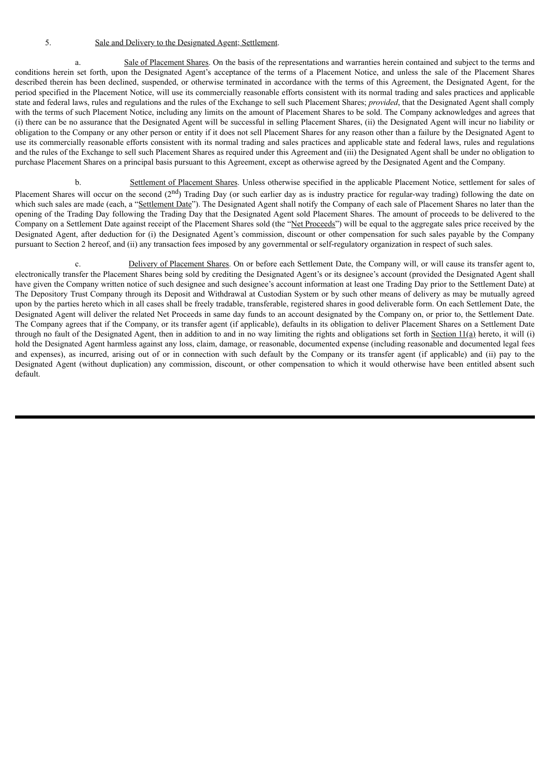# 5. Sale and Delivery to the Designated Agent; Settlement.

a. Sale of Placement Shares. On the basis of the representations and warranties herein contained and subject to the terms and conditions herein set forth, upon the Designated Agent's acceptance of the terms of a Placement Notice, and unless the sale of the Placement Shares described therein has been declined, suspended, or otherwise terminated in accordance with the terms of this Agreement, the Designated Agent, for the period specified in the Placement Notice, will use its commercially reasonable efforts consistent with its normal trading and sales practices and applicable state and federal laws, rules and regulations and the rules of the Exchange to sell such Placement Shares; *provided*, that the Designated Agent shall comply with the terms of such Placement Notice, including any limits on the amount of Placement Shares to be sold. The Company acknowledges and agrees that (i) there can be no assurance that the Designated Agent will be successful in selling Placement Shares, (ii) the Designated Agent will incur no liability or obligation to the Company or any other person or entity if it does not sell Placement Shares for any reason other than a failure by the Designated Agent to use its commercially reasonable efforts consistent with its normal trading and sales practices and applicable state and federal laws, rules and regulations and the rules of the Exchange to sell such Placement Shares as required under this Agreement and (iii) the Designated Agent shall be under no obligation to purchase Placement Shares on a principal basis pursuant to this Agreement, except as otherwise agreed by the Designated Agent and the Company.

b. Settlement of Placement Shares. Unless otherwise specified in the applicable Placement Notice, settlement for sales of Placement Shares will occur on the second  $(2<sup>nd</sup>)$  Trading Day (or such earlier day as is industry practice for regular-way trading) following the date on which such sales are made (each, a "Settlement Date"). The Designated Agent shall notify the Company of each sale of Placement Shares no later than the opening of the Trading Day following the Trading Day that the Designated Agent sold Placement Shares. The amount of proceeds to be delivered to the Company on a Settlement Date against receipt of the Placement Shares sold (the "Net Proceeds") will be equal to the aggregate sales price received by the Designated Agent, after deduction for (i) the Designated Agent's commission, discount or other compensation for such sales payable by the Company pursuant to Section 2 hereof, and (ii) any transaction fees imposed by any governmental or self-regulatory organization in respect of such sales.

Delivery of Placement Shares. On or before each Settlement Date, the Company will, or will cause its transfer agent to, electronically transfer the Placement Shares being sold by crediting the Designated Agent's or its designee's account (provided the Designated Agent shall have given the Company written notice of such designee and such designee's account information at least one Trading Day prior to the Settlement Date) at The Depository Trust Company through its Deposit and Withdrawal at Custodian System or by such other means of delivery as may be mutually agreed upon by the parties hereto which in all cases shall be freely tradable, transferable, registered shares in good deliverable form. On each Settlement Date, the Designated Agent will deliver the related Net Proceeds in same day funds to an account designated by the Company on, or prior to, the Settlement Date. The Company agrees that if the Company, or its transfer agent (if applicable), defaults in its obligation to deliver Placement Shares on a Settlement Date through no fault of the Designated Agent, then in addition to and in no way limiting the rights and obligations set forth in Section  $11(a)$  hereto, it will (i) hold the Designated Agent harmless against any loss, claim, damage, or reasonable, documented expense (including reasonable and documented legal fees and expenses), as incurred, arising out of or in connection with such default by the Company or its transfer agent (if applicable) and (ii) pay to the Designated Agent (without duplication) any commission, discount, or other compensation to which it would otherwise have been entitled absent such default.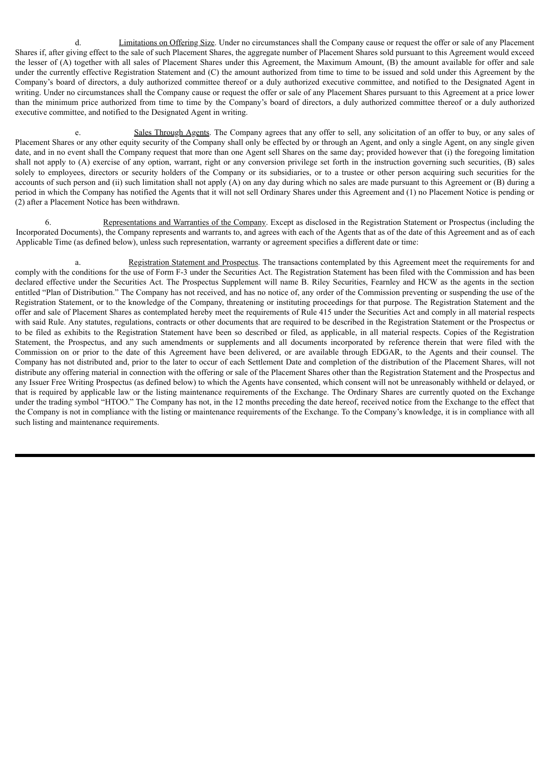d. Limitations on Offering Size. Under no circumstances shall the Company cause or request the offer or sale of any Placement Shares if, after giving effect to the sale of such Placement Shares, the aggregate number of Placement Shares sold pursuant to this Agreement would exceed the lesser of (A) together with all sales of Placement Shares under this Agreement, the Maximum Amount, (B) the amount available for offer and sale under the currently effective Registration Statement and (C) the amount authorized from time to time to be issued and sold under this Agreement by the Company's board of directors, a duly authorized committee thereof or a duly authorized executive committee, and notified to the Designated Agent in writing. Under no circumstances shall the Company cause or request the offer or sale of any Placement Shares pursuant to this Agreement at a price lower than the minimum price authorized from time to time by the Company's board of directors, a duly authorized committee thereof or a duly authorized executive committee, and notified to the Designated Agent in writing.

e. Sales Through Agents. The Company agrees that any offer to sell, any solicitation of an offer to buy, or any sales of Placement Shares or any other equity security of the Company shall only be effected by or through an Agent, and only a single Agent, on any single given date, and in no event shall the Company request that more than one Agent sell Shares on the same day; provided however that (i) the foregoing limitation shall not apply to (A) exercise of any option, warrant, right or any conversion privilege set forth in the instruction governing such securities, (B) sales solely to employees, directors or security holders of the Company or its subsidiaries, or to a trustee or other person acquiring such securities for the accounts of such person and (ii) such limitation shall not apply  $(A)$  on any day during which no sales are made pursuant to this Agreement or  $(B)$  during a period in which the Company has notified the Agents that it will not sell Ordinary Shares under this Agreement and (1) no Placement Notice is pending or (2) after a Placement Notice has been withdrawn.

6. Representations and Warranties of the Company. Except as disclosed in the Registration Statement or Prospectus (including the Incorporated Documents), the Company represents and warrants to, and agrees with each of the Agents that as of the date of this Agreement and as of each Applicable Time (as defined below), unless such representation, warranty or agreement specifies a different date or time:

a. Registration Statement and Prospectus. The transactions contemplated by this Agreement meet the requirements for and comply with the conditions for the use of Form F-3 under the Securities Act. The Registration Statement has been filed with the Commission and has been declared effective under the Securities Act. The Prospectus Supplement will name B. Riley Securities, Fearnley and HCW as the agents in the section entitled "Plan of Distribution." The Company has not received, and has no notice of, any order of the Commission preventing or suspending the use of the Registration Statement, or to the knowledge of the Company, threatening or instituting proceedings for that purpose. The Registration Statement and the offer and sale of Placement Shares as contemplated hereby meet the requirements of Rule 415 under the Securities Act and comply in all material respects with said Rule. Any statutes, regulations, contracts or other documents that are required to be described in the Registration Statement or the Prospectus or to be filed as exhibits to the Registration Statement have been so described or filed, as applicable, in all material respects. Copies of the Registration Statement, the Prospectus, and any such amendments or supplements and all documents incorporated by reference therein that were filed with the Commission on or prior to the date of this Agreement have been delivered, or are available through EDGAR, to the Agents and their counsel. The Company has not distributed and, prior to the later to occur of each Settlement Date and completion of the distribution of the Placement Shares, will not distribute any offering material in connection with the offering or sale of the Placement Shares other than the Registration Statement and the Prospectus and any Issuer Free Writing Prospectus (as defined below) to which the Agents have consented, which consent will not be unreasonably withheld or delayed, or that is required by applicable law or the listing maintenance requirements of the Exchange. The Ordinary Shares are currently quoted on the Exchange under the trading symbol "HTOO." The Company has not, in the 12 months preceding the date hereof, received notice from the Exchange to the effect that the Company is not in compliance with the listing or maintenance requirements of the Exchange. To the Company's knowledge, it is in compliance with all such listing and maintenance requirements.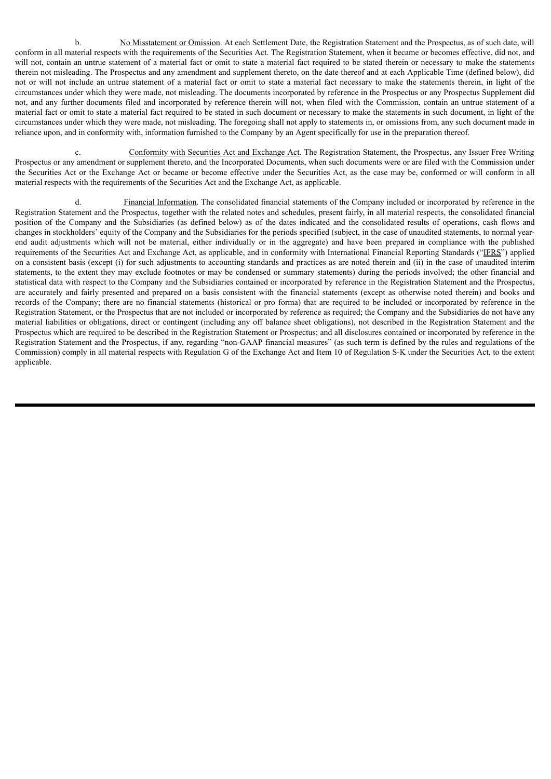b. No Misstatement or Omission. At each Settlement Date, the Registration Statement and the Prospectus, as of such date, will conform in all material respects with the requirements of the Securities Act. The Registration Statement, when it became or becomes effective, did not, and will not, contain an untrue statement of a material fact or omit to state a material fact required to be stated therein or necessary to make the statements therein not misleading. The Prospectus and any amendment and supplement thereto, on the date thereof and at each Applicable Time (defined below), did not or will not include an untrue statement of a material fact or omit to state a material fact necessary to make the statements therein, in light of the circumstances under which they were made, not misleading. The documents incorporated by reference in the Prospectus or any Prospectus Supplement did not, and any further documents filed and incorporated by reference therein will not, when filed with the Commission, contain an untrue statement of a material fact or omit to state a material fact required to be stated in such document or necessary to make the statements in such document, in light of the circumstances under which they were made, not misleading. The foregoing shall not apply to statements in, or omissions from, any such document made in reliance upon, and in conformity with, information furnished to the Company by an Agent specifically for use in the preparation thereof.

c. Conformity with Securities Act and Exchange Act. The Registration Statement, the Prospectus, any Issuer Free Writing Prospectus or any amendment or supplement thereto, and the Incorporated Documents, when such documents were or are filed with the Commission under the Securities Act or the Exchange Act or became or become effective under the Securities Act, as the case may be, conformed or will conform in all material respects with the requirements of the Securities Act and the Exchange Act, as applicable.

Financial Information. The consolidated financial statements of the Company included or incorporated by reference in the Registration Statement and the Prospectus, together with the related notes and schedules, present fairly, in all material respects, the consolidated financial position of the Company and the Subsidiaries (as defined below) as of the dates indicated and the consolidated results of operations, cash flows and changes in stockholders' equity of the Company and the Subsidiaries for the periods specified (subject, in the case of unaudited statements, to normal yearend audit adjustments which will not be material, either individually or in the aggregate) and have been prepared in compliance with the published requirements of the Securities Act and Exchange Act, as applicable, and in conformity with International Financial Reporting Standards ("IFRS") applied on a consistent basis (except (i) for such adjustments to accounting standards and practices as are noted therein and (ii) in the case of unaudited interim statements, to the extent they may exclude footnotes or may be condensed or summary statements) during the periods involved; the other financial and statistical data with respect to the Company and the Subsidiaries contained or incorporated by reference in the Registration Statement and the Prospectus, are accurately and fairly presented and prepared on a basis consistent with the financial statements (except as otherwise noted therein) and books and records of the Company; there are no financial statements (historical or pro forma) that are required to be included or incorporated by reference in the Registration Statement, or the Prospectus that are not included or incorporated by reference as required; the Company and the Subsidiaries do not have any material liabilities or obligations, direct or contingent (including any off balance sheet obligations), not described in the Registration Statement and the Prospectus which are required to be described in the Registration Statement or Prospectus; and all disclosures contained or incorporated by reference in the Registration Statement and the Prospectus, if any, regarding "non-GAAP financial measures" (as such term is defined by the rules and regulations of the Commission) comply in all material respects with Regulation G of the Exchange Act and Item 10 of Regulation S-K under the Securities Act, to the extent applicable.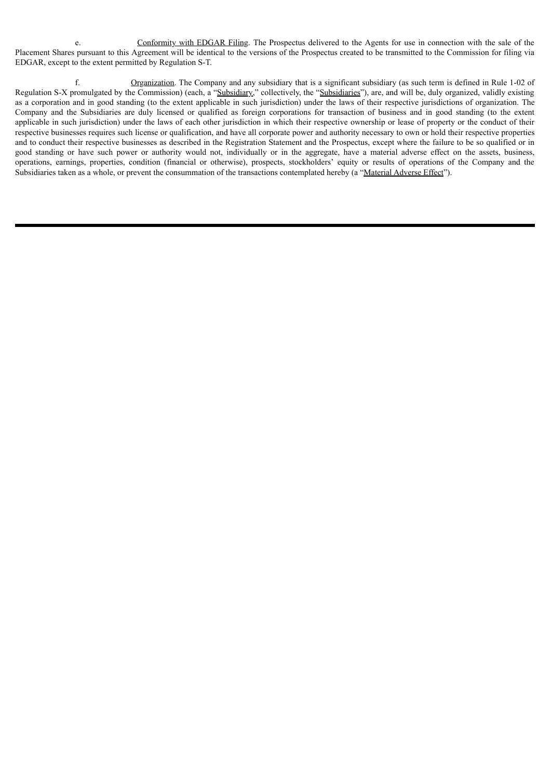e. Conformity with EDGAR Filing. The Prospectus delivered to the Agents for use in connection with the sale of the Placement Shares pursuant to this Agreement will be identical to the versions of the Prospectus created to be transmitted to the Commission for filing via EDGAR, except to the extent permitted by Regulation S-T.

f. Organization. The Company and any subsidiary that is a significant subsidiary (as such term is defined in Rule 1-02 of Regulation S-X promulgated by the Commission) (each, a "Subsidiary," collectively, the "Subsidiaries"), are, and will be, duly organized, validly existing as a corporation and in good standing (to the extent applicable in such jurisdiction) under the laws of their respective jurisdictions of organization. The Company and the Subsidiaries are duly licensed or qualified as foreign corporations for transaction of business and in good standing (to the extent applicable in such jurisdiction) under the laws of each other jurisdiction in which their respective ownership or lease of property or the conduct of their respective businesses requires such license or qualification, and have all corporate power and authority necessary to own or hold their respective properties and to conduct their respective businesses as described in the Registration Statement and the Prospectus, except where the failure to be so qualified or in good standing or have such power or authority would not, individually or in the aggregate, have a material adverse effect on the assets, business, operations, earnings, properties, condition (financial or otherwise), prospects, stockholders' equity or results of operations of the Company and the Subsidiaries taken as a whole, or prevent the consummation of the transactions contemplated hereby (a "Material Adverse Effect").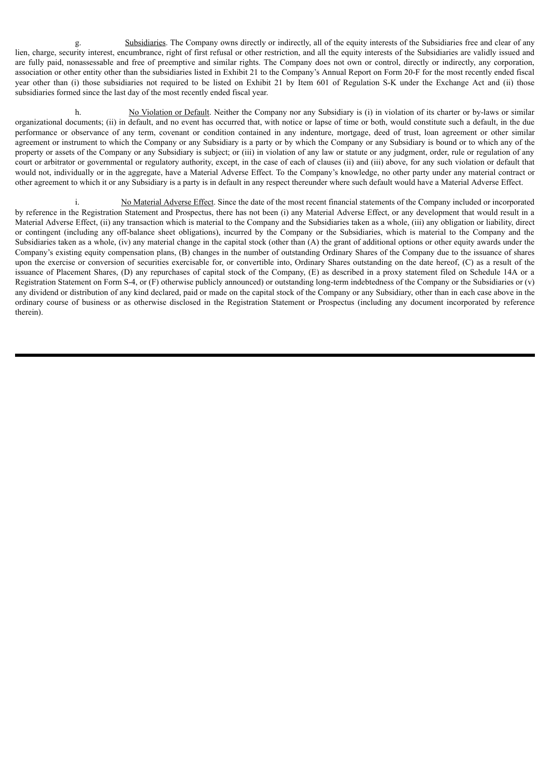g. Subsidiaries. The Company owns directly or indirectly, all of the equity interests of the Subsidiaries free and clear of any lien, charge, security interest, encumbrance, right of first refusal or other restriction, and all the equity interests of the Subsidiaries are validly issued and are fully paid, nonassessable and free of preemptive and similar rights. The Company does not own or control, directly or indirectly, any corporation, association or other entity other than the subsidiaries listed in Exhibit 21 to the Company's Annual Report on Form 20-F for the most recently ended fiscal year other than (i) those subsidiaries not required to be listed on Exhibit 21 by Item 601 of Regulation S-K under the Exchange Act and (ii) those subsidiaries formed since the last day of the most recently ended fiscal year.

h. No Violation or Default. Neither the Company nor any Subsidiary is (i) in violation of its charter or by-laws or similar organizational documents; (ii) in default, and no event has occurred that, with notice or lapse of time or both, would constitute such a default, in the due performance or observance of any term, covenant or condition contained in any indenture, mortgage, deed of trust, loan agreement or other similar agreement or instrument to which the Company or any Subsidiary is a party or by which the Company or any Subsidiary is bound or to which any of the property or assets of the Company or any Subsidiary is subject; or (iii) in violation of any law or statute or any judgment, order, rule or regulation of any court or arbitrator or governmental or regulatory authority, except, in the case of each of clauses (ii) and (iii) above, for any such violation or default that would not, individually or in the aggregate, have a Material Adverse Effect. To the Company's knowledge, no other party under any material contract or other agreement to which it or any Subsidiary is a party is in default in any respect thereunder where such default would have a Material Adverse Effect.

i. No Material Adverse Effect. Since the date of the most recent financial statements of the Company included or incorporated by reference in the Registration Statement and Prospectus, there has not been (i) any Material Adverse Effect, or any development that would result in a Material Adverse Effect, (ii) any transaction which is material to the Company and the Subsidiaries taken as a whole, (iii) any obligation or liability, direct or contingent (including any off-balance sheet obligations), incurred by the Company or the Subsidiaries, which is material to the Company and the Subsidiaries taken as a whole, (iv) any material change in the capital stock (other than (A) the grant of additional options or other equity awards under the Company's existing equity compensation plans, (B) changes in the number of outstanding Ordinary Shares of the Company due to the issuance of shares upon the exercise or conversion of securities exercisable for, or convertible into, Ordinary Shares outstanding on the date hereof, (C) as a result of the issuance of Placement Shares, (D) any repurchases of capital stock of the Company, (E) as described in a proxy statement filed on Schedule 14A or a Registration Statement on Form S-4, or  $(F)$  otherwise publicly announced) or outstanding long-term indebtedness of the Company or the Subsidiaries or  $(v)$ any dividend or distribution of any kind declared, paid or made on the capital stock of the Company or any Subsidiary, other than in each case above in the ordinary course of business or as otherwise disclosed in the Registration Statement or Prospectus (including any document incorporated by reference therein).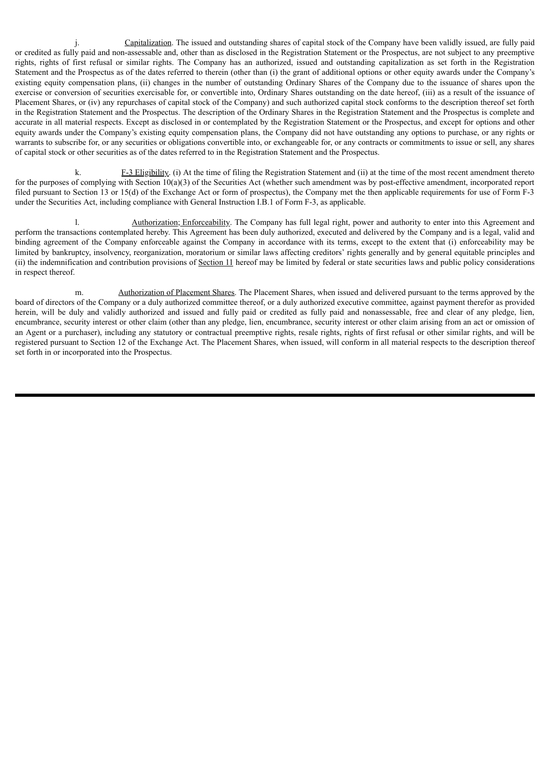j. Capitalization. The issued and outstanding shares of capital stock of the Company have been validly issued, are fully paid or credited as fully paid and non-assessable and, other than as disclosed in the Registration Statement or the Prospectus, are not subject to any preemptive rights, rights of first refusal or similar rights. The Company has an authorized, issued and outstanding capitalization as set forth in the Registration Statement and the Prospectus as of the dates referred to therein (other than (i) the grant of additional options or other equity awards under the Company's existing equity compensation plans, (ii) changes in the number of outstanding Ordinary Shares of the Company due to the issuance of shares upon the exercise or conversion of securities exercisable for, or convertible into, Ordinary Shares outstanding on the date hereof, (iii) as a result of the issuance of Placement Shares, or (iv) any repurchases of capital stock of the Company) and such authorized capital stock conforms to the description thereof set forth in the Registration Statement and the Prospectus. The description of the Ordinary Shares in the Registration Statement and the Prospectus is complete and accurate in all material respects. Except as disclosed in or contemplated by the Registration Statement or the Prospectus, and except for options and other equity awards under the Company's existing equity compensation plans, the Company did not have outstanding any options to purchase, or any rights or warrants to subscribe for, or any securities or obligations convertible into, or exchangeable for, or any contracts or commitments to issue or sell, any shares of capital stock or other securities as of the dates referred to in the Registration Statement and the Prospectus.

k. F-3 Eligibility. (i) At the time of filing the Registration Statement and (ii) at the time of the most recent amendment thereto for the purposes of complying with Section 10(a)(3) of the Securities Act (whether such amendment was by post-effective amendment, incorporated report filed pursuant to Section 13 or 15(d) of the Exchange Act or form of prospectus), the Company met the then applicable requirements for use of Form F-3 under the Securities Act, including compliance with General Instruction I.B.1 of Form F-3, as applicable.

l. Authorization; Enforceability. The Company has full legal right, power and authority to enter into this Agreement and perform the transactions contemplated hereby. This Agreement has been duly authorized, executed and delivered by the Company and is a legal, valid and binding agreement of the Company enforceable against the Company in accordance with its terms, except to the extent that (i) enforceability may be limited by bankruptcy, insolvency, reorganization, moratorium or similar laws affecting creditors' rights generally and by general equitable principles and (ii) the indemnification and contribution provisions of Section 11 hereof may be limited by federal or state securities laws and public policy considerations in respect thereof.

m. Authorization of Placement Shares. The Placement Shares, when issued and delivered pursuant to the terms approved by the board of directors of the Company or a duly authorized committee thereof, or a duly authorized executive committee, against payment therefor as provided herein, will be duly and validly authorized and issued and fully paid or credited as fully paid and nonassessable, free and clear of any pledge, lien, encumbrance, security interest or other claim (other than any pledge, lien, encumbrance, security interest or other claim arising from an act or omission of an Agent or a purchaser), including any statutory or contractual preemptive rights, resale rights, rights of first refusal or other similar rights, and will be registered pursuant to Section 12 of the Exchange Act. The Placement Shares, when issued, will conform in all material respects to the description thereof set forth in or incorporated into the Prospectus.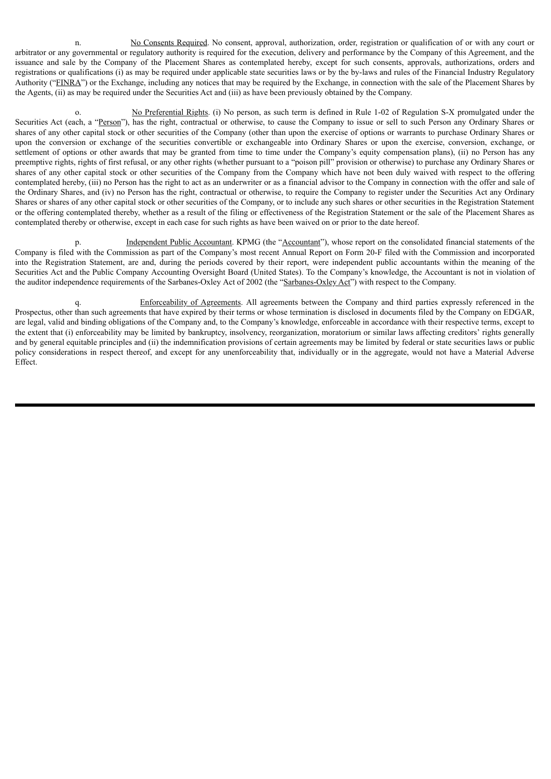n. No Consents Required. No consent, approval, authorization, order, registration or qualification of or with any court or arbitrator or any governmental or regulatory authority is required for the execution, delivery and performance by the Company of this Agreement, and the issuance and sale by the Company of the Placement Shares as contemplated hereby, except for such consents, approvals, authorizations, orders and registrations or qualifications (i) as may be required under applicable state securities laws or by the by-laws and rules of the Financial Industry Regulatory Authority ("FINRA") or the Exchange, including any notices that may be required by the Exchange, in connection with the sale of the Placement Shares by the Agents, (ii) as may be required under the Securities Act and (iii) as have been previously obtained by the Company.

o. No Preferential Rights. (i) No person, as such term is defined in Rule 1-02 of Regulation S-X promulgated under the Securities Act (each, a "Person"), has the right, contractual or otherwise, to cause the Company to issue or sell to such Person any Ordinary Shares or shares of any other capital stock or other securities of the Company (other than upon the exercise of options or warrants to purchase Ordinary Shares or upon the conversion or exchange of the securities convertible or exchangeable into Ordinary Shares or upon the exercise, conversion, exchange, or settlement of options or other awards that may be granted from time to time under the Company's equity compensation plans), (ii) no Person has any preemptive rights, rights of first refusal, or any other rights (whether pursuant to a "poison pill" provision or otherwise) to purchase any Ordinary Shares or shares of any other capital stock or other securities of the Company from the Company which have not been duly waived with respect to the offering contemplated hereby, (iii) no Person has the right to act as an underwriter or as a financial advisor to the Company in connection with the offer and sale of the Ordinary Shares, and (iv) no Person has the right, contractual or otherwise, to require the Company to register under the Securities Act any Ordinary Shares or shares of any other capital stock or other securities of the Company, or to include any such shares or other securities in the Registration Statement or the offering contemplated thereby, whether as a result of the filing or effectiveness of the Registration Statement or the sale of the Placement Shares as contemplated thereby or otherwise, except in each case for such rights as have been waived on or prior to the date hereof.

Independent Public Accountant. KPMG (the "Accountant"), whose report on the consolidated financial statements of the Company is filed with the Commission as part of the Company's most recent Annual Report on Form 20-F filed with the Commission and incorporated into the Registration Statement, are and, during the periods covered by their report, were independent public accountants within the meaning of the Securities Act and the Public Company Accounting Oversight Board (United States). To the Company's knowledge, the Accountant is not in violation of the auditor independence requirements of the Sarbanes-Oxley Act of 2002 (the "Sarbanes-Oxley Act") with respect to the Company.

Enforceability of Agreements. All agreements between the Company and third parties expressly referenced in the Prospectus, other than such agreements that have expired by their terms or whose termination is disclosed in documents filed by the Company on EDGAR, are legal, valid and binding obligations of the Company and, to the Company's knowledge, enforceable in accordance with their respective terms, except to the extent that (i) enforceability may be limited by bankruptcy, insolvency, reorganization, moratorium or similar laws affecting creditors' rights generally and by general equitable principles and (ii) the indemnification provisions of certain agreements may be limited by federal or state securities laws or public policy considerations in respect thereof, and except for any unenforceability that, individually or in the aggregate, would not have a Material Adverse Effect.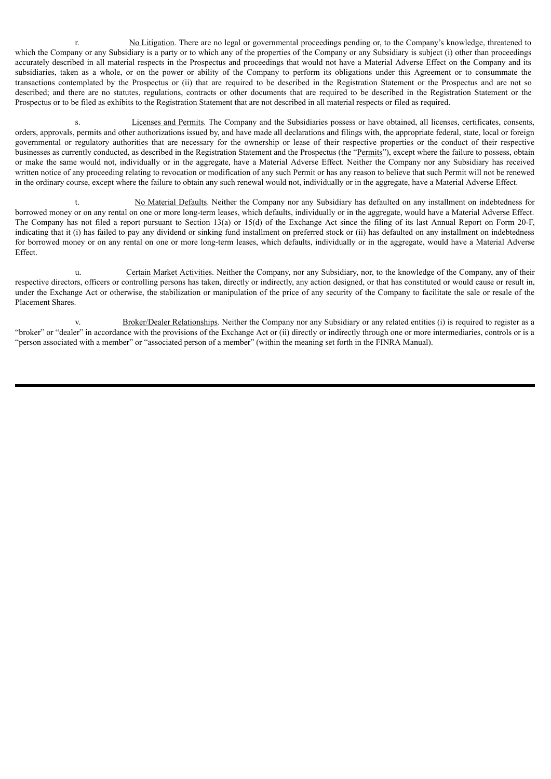r. No Litigation. There are no legal or governmental proceedings pending or, to the Company's knowledge, threatened to which the Company or any Subsidiary is a party or to which any of the properties of the Company or any Subsidiary is subject (i) other than proceedings accurately described in all material respects in the Prospectus and proceedings that would not have a Material Adverse Effect on the Company and its subsidiaries, taken as a whole, or on the power or ability of the Company to perform its obligations under this Agreement or to consummate the transactions contemplated by the Prospectus or (ii) that are required to be described in the Registration Statement or the Prospectus and are not so described; and there are no statutes, regulations, contracts or other documents that are required to be described in the Registration Statement or the Prospectus or to be filed as exhibits to the Registration Statement that are not described in all material respects or filed as required.

Licenses and Permits. The Company and the Subsidiaries possess or have obtained, all licenses, certificates, consents, orders, approvals, permits and other authorizations issued by, and have made all declarations and filings with, the appropriate federal, state, local or foreign governmental or regulatory authorities that are necessary for the ownership or lease of their respective properties or the conduct of their respective businesses as currently conducted, as described in the Registration Statement and the Prospectus (the "Permits"), except where the failure to possess, obtain or make the same would not, individually or in the aggregate, have a Material Adverse Effect. Neither the Company nor any Subsidiary has received written notice of any proceeding relating to revocation or modification of any such Permit or has any reason to believe that such Permit will not be renewed in the ordinary course, except where the failure to obtain any such renewal would not, individually or in the aggregate, have a Material Adverse Effect.

t. No Material Defaults. Neither the Company nor any Subsidiary has defaulted on any installment on indebtedness for borrowed money or on any rental on one or more long-term leases, which defaults, individually or in the aggregate, would have a Material Adverse Effect. The Company has not filed a report pursuant to Section 13(a) or 15(d) of the Exchange Act since the filing of its last Annual Report on Form 20-F, indicating that it (i) has failed to pay any dividend or sinking fund installment on preferred stock or (ii) has defaulted on any installment on indebtedness for borrowed money or on any rental on one or more long-term leases, which defaults, individually or in the aggregate, would have a Material Adverse Effect.

u. Certain Market Activities. Neither the Company, nor any Subsidiary, nor, to the knowledge of the Company, any of their respective directors, officers or controlling persons has taken, directly or indirectly, any action designed, or that has constituted or would cause or result in, under the Exchange Act or otherwise, the stabilization or manipulation of the price of any security of the Company to facilitate the sale or resale of the Placement Shares.

Broker/Dealer Relationships. Neither the Company nor any Subsidiary or any related entities (i) is required to register as a "broker" or "dealer" in accordance with the provisions of the Exchange Act or (ii) directly or indirectly through one or more intermediaries, controls or is a "person associated with a member" or "associated person of a member" (within the meaning set forth in the FINRA Manual).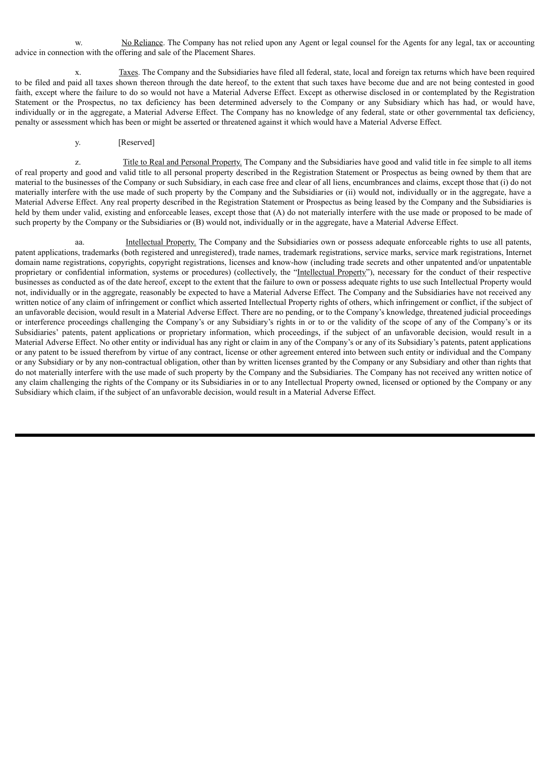w. No Reliance. The Company has not relied upon any Agent or legal counsel for the Agents for any legal, tax or accounting advice in connection with the offering and sale of the Placement Shares.

Taxes. The Company and the Subsidiaries have filed all federal, state, local and foreign tax returns which have been required to be filed and paid all taxes shown thereon through the date hereof, to the extent that such taxes have become due and are not being contested in good faith, except where the failure to do so would not have a Material Adverse Effect. Except as otherwise disclosed in or contemplated by the Registration Statement or the Prospectus, no tax deficiency has been determined adversely to the Company or any Subsidiary which has had, or would have, individually or in the aggregate, a Material Adverse Effect. The Company has no knowledge of any federal, state or other governmental tax deficiency, penalty or assessment which has been or might be asserted or threatened against it which would have a Material Adverse Effect.

# y. [Reserved]

z. Title to Real and Personal Property. The Company and the Subsidiaries have good and valid title in fee simple to all items of real property and good and valid title to all personal property described in the Registration Statement or Prospectus as being owned by them that are material to the businesses of the Company or such Subsidiary, in each case free and clear of all liens, encumbrances and claims, except those that (i) do not materially interfere with the use made of such property by the Company and the Subsidiaries or (ii) would not, individually or in the aggregate, have a Material Adverse Effect. Any real property described in the Registration Statement or Prospectus as being leased by the Company and the Subsidiaries is held by them under valid, existing and enforceable leases, except those that (A) do not materially interfere with the use made or proposed to be made of such property by the Company or the Subsidiaries or (B) would not, individually or in the aggregate, have a Material Adverse Effect.

aa. Intellectual Property. The Company and the Subsidiaries own or possess adequate enforceable rights to use all patents, patent applications, trademarks (both registered and unregistered), trade names, trademark registrations, service marks, service mark registrations, Internet domain name registrations, copyrights, copyright registrations, licenses and know-how (including trade secrets and other unpatented and/or unpatentable proprietary or confidential information, systems or procedures) (collectively, the "Intellectual Property"), necessary for the conduct of their respective businesses as conducted as of the date hereof, except to the extent that the failure to own or possess adequate rights to use such Intellectual Property would not, individually or in the aggregate, reasonably be expected to have a Material Adverse Effect. The Company and the Subsidiaries have not received any written notice of any claim of infringement or conflict which asserted Intellectual Property rights of others, which infringement or conflict, if the subject of an unfavorable decision, would result in a Material Adverse Effect. There are no pending, or to the Company's knowledge, threatened judicial proceedings or interference proceedings challenging the Company's or any Subsidiary's rights in or to or the validity of the scope of any of the Company's or its Subsidiaries' patents, patent applications or proprietary information, which proceedings, if the subject of an unfavorable decision, would result in a Material Adverse Effect. No other entity or individual has any right or claim in any of the Company's or any of its Subsidiary's patents, patent applications or any patent to be issued therefrom by virtue of any contract, license or other agreement entered into between such entity or individual and the Company or any Subsidiary or by any non-contractual obligation, other than by written licenses granted by the Company or any Subsidiary and other than rights that do not materially interfere with the use made of such property by the Company and the Subsidiaries. The Company has not received any written notice of any claim challenging the rights of the Company or its Subsidiaries in or to any Intellectual Property owned, licensed or optioned by the Company or any Subsidiary which claim, if the subject of an unfavorable decision, would result in a Material Adverse Effect.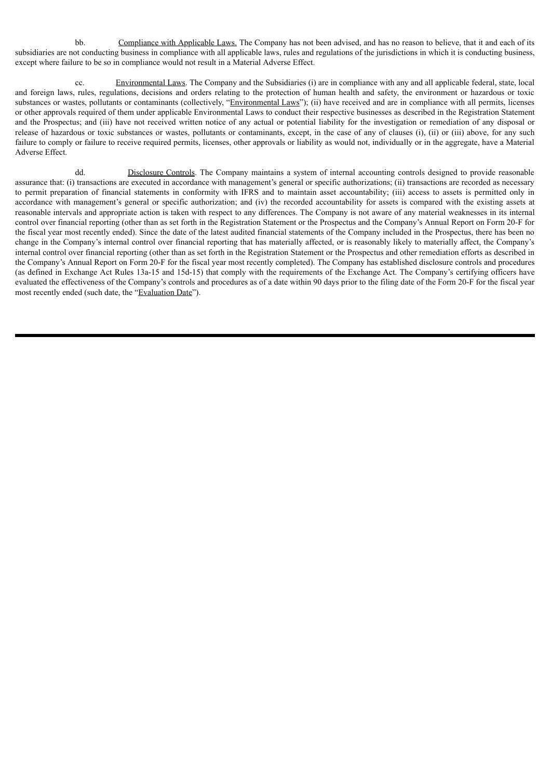bb. Compliance with Applicable Laws. The Company has not been advised, and has no reason to believe, that it and each of its subsidiaries are not conducting business in compliance with all applicable laws, rules and regulations of the jurisdictions in which it is conducting business, except where failure to be so in compliance would not result in a Material Adverse Effect.

Environmental Laws. The Company and the Subsidiaries (i) are in compliance with any and all applicable federal, state, local and foreign laws, rules, regulations, decisions and orders relating to the protection of human health and safety, the environment or hazardous or toxic substances or wastes, pollutants or contaminants (collectively, "Environmental Laws"); (ii) have received and are in compliance with all permits, licenses or other approvals required of them under applicable Environmental Laws to conduct their respective businesses as described in the Registration Statement and the Prospectus; and (iii) have not received written notice of any actual or potential liability for the investigation or remediation of any disposal or release of hazardous or toxic substances or wastes, pollutants or contaminants, except, in the case of any of clauses (i), (ii) or (iii) above, for any such failure to comply or failure to receive required permits, licenses, other approvals or liability as would not, individually or in the aggregate, have a Material Adverse Effect.

dd. Disclosure Controls. The Company maintains a system of internal accounting controls designed to provide reasonable assurance that: (i) transactions are executed in accordance with management's general or specific authorizations; (ii) transactions are recorded as necessary to permit preparation of financial statements in conformity with IFRS and to maintain asset accountability; (iii) access to assets is permitted only in accordance with management's general or specific authorization; and (iv) the recorded accountability for assets is compared with the existing assets at reasonable intervals and appropriate action is taken with respect to any differences. The Company is not aware of any material weaknesses in its internal control over financial reporting (other than as set forth in the Registration Statement or the Prospectus and the Company's Annual Report on Form 20-F for the fiscal year most recently ended). Since the date of the latest audited financial statements of the Company included in the Prospectus, there has been no change in the Company's internal control over financial reporting that has materially affected, or is reasonably likely to materially affect, the Company's internal control over financial reporting (other than as set forth in the Registration Statement or the Prospectus and other remediation efforts as described in the Company's Annual Report on Form 20-F for the fiscal year most recently completed). The Company has established disclosure controls and procedures (as defined in Exchange Act Rules 13a-15 and 15d-15) that comply with the requirements of the Exchange Act. The Company's certifying officers have evaluated the effectiveness of the Company's controls and procedures as of a date within 90 days prior to the filing date of the Form 20-F for the fiscal year most recently ended (such date, the "Evaluation Date").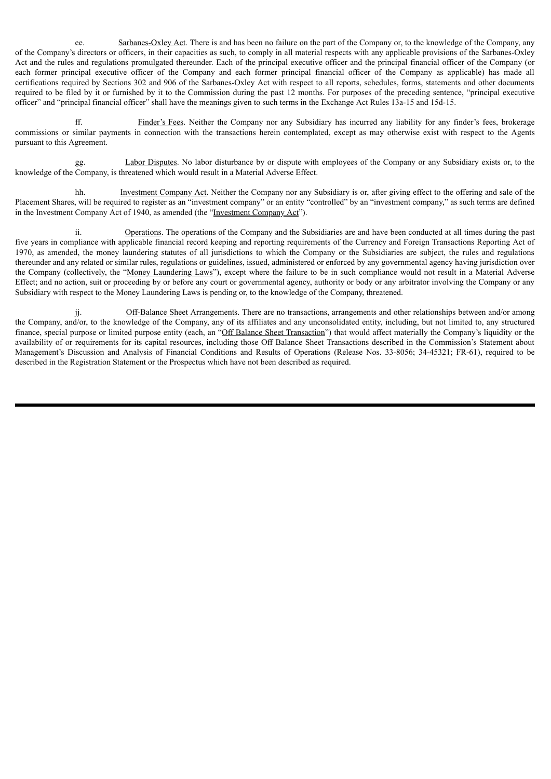ee. Sarbanes-Oxley Act. There is and has been no failure on the part of the Company or, to the knowledge of the Company, any of the Company's directors or officers, in their capacities as such, to comply in all material respects with any applicable provisions of the Sarbanes-Oxley Act and the rules and regulations promulgated thereunder. Each of the principal executive officer and the principal financial officer of the Company (or each former principal executive officer of the Company and each former principal financial officer of the Company as applicable) has made all certifications required by Sections 302 and 906 of the Sarbanes-Oxley Act with respect to all reports, schedules, forms, statements and other documents required to be filed by it or furnished by it to the Commission during the past 12 months. For purposes of the preceding sentence, "principal executive officer" and "principal financial officer" shall have the meanings given to such terms in the Exchange Act Rules 13a-15 and 15d-15.

ff. Finder's Fees. Neither the Company nor any Subsidiary has incurred any liability for any finder's fees, brokerage commissions or similar payments in connection with the transactions herein contemplated, except as may otherwise exist with respect to the Agents pursuant to this Agreement.

Labor Disputes. No labor disturbance by or dispute with employees of the Company or any Subsidiary exists or, to the knowledge of the Company, is threatened which would result in a Material Adverse Effect.

hh. Investment Company Act. Neither the Company nor any Subsidiary is or, after giving effect to the offering and sale of the Placement Shares, will be required to register as an "investment company" or an entity "controlled" by an "investment company," as such terms are defined in the Investment Company Act of 1940, as amended (the "Investment Company Act").

ii. Operations. The operations of the Company and the Subsidiaries are and have been conducted at all times during the past five years in compliance with applicable financial record keeping and reporting requirements of the Currency and Foreign Transactions Reporting Act of 1970, as amended, the money laundering statutes of all jurisdictions to which the Company or the Subsidiaries are subject, the rules and regulations thereunder and any related or similar rules, regulations or guidelines, issued, administered or enforced by any governmental agency having jurisdiction over the Company (collectively, the "Money Laundering Laws"), except where the failure to be in such compliance would not result in a Material Adverse Effect; and no action, suit or proceeding by or before any court or governmental agency, authority or body or any arbitrator involving the Company or any Subsidiary with respect to the Money Laundering Laws is pending or, to the knowledge of the Company, threatened.

jj. Off-Balance Sheet Arrangements. There are no transactions, arrangements and other relationships between and/or among the Company, and/or, to the knowledge of the Company, any of its affiliates and any unconsolidated entity, including, but not limited to, any structured finance, special purpose or limited purpose entity (each, an "Off Balance Sheet Transaction") that would affect materially the Company's liquidity or the availability of or requirements for its capital resources, including those Off Balance Sheet Transactions described in the Commission's Statement about Management's Discussion and Analysis of Financial Conditions and Results of Operations (Release Nos. 33-8056; 34-45321; FR-61), required to be described in the Registration Statement or the Prospectus which have not been described as required.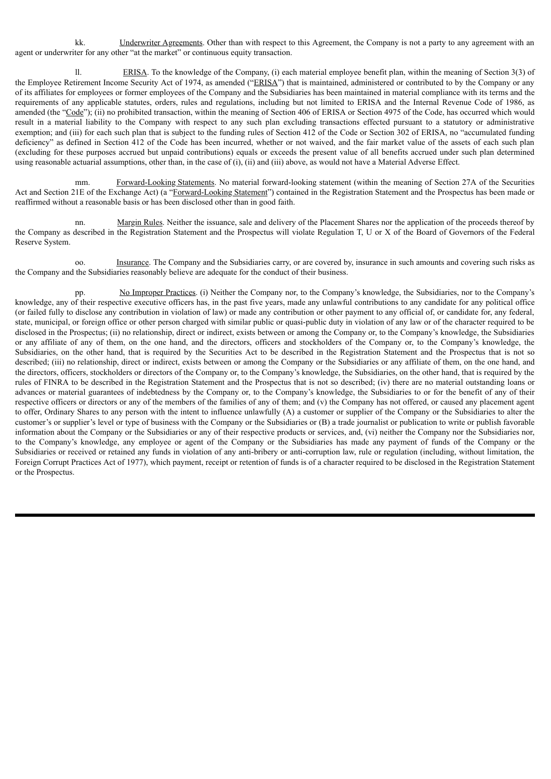kk. Underwriter Agreements. Other than with respect to this Agreement, the Company is not a party to any agreement with an agent or underwriter for any other "at the market" or continuous equity transaction.

ll. ERISA. To the knowledge of the Company, (i) each material employee benefit plan, within the meaning of Section 3(3) of the Employee Retirement Income Security Act of 1974, as amended ("ERISA") that is maintained, administered or contributed to by the Company or any of its affiliates for employees or former employees of the Company and the Subsidiaries has been maintained in material compliance with its terms and the requirements of any applicable statutes, orders, rules and regulations, including but not limited to ERISA and the Internal Revenue Code of 1986, as amended (the "Code"); (ii) no prohibited transaction, within the meaning of Section 406 of ERISA or Section 4975 of the Code, has occurred which would result in a material liability to the Company with respect to any such plan excluding transactions effected pursuant to a statutory or administrative exemption; and (iii) for each such plan that is subject to the funding rules of Section 412 of the Code or Section 302 of ERISA, no "accumulated funding deficiency" as defined in Section 412 of the Code has been incurred, whether or not waived, and the fair market value of the assets of each such plan (excluding for these purposes accrued but unpaid contributions) equals or exceeds the present value of all benefits accrued under such plan determined using reasonable actuarial assumptions, other than, in the case of (i), (ii) and (iii) above, as would not have a Material Adverse Effect.

mm. Forward-Looking Statements. No material forward-looking statement (within the meaning of Section 27A of the Securities Act and Section 21E of the Exchange Act) (a "Forward-Looking Statement") contained in the Registration Statement and the Prospectus has been made or reaffirmed without a reasonable basis or has been disclosed other than in good faith.

nn. Margin Rules. Neither the issuance, sale and delivery of the Placement Shares nor the application of the proceeds thereof by the Company as described in the Registration Statement and the Prospectus will violate Regulation T, U or X of the Board of Governors of the Federal Reserve System.

oo. Insurance. The Company and the Subsidiaries carry, or are covered by, insurance in such amounts and covering such risks as the Company and the Subsidiaries reasonably believe are adequate for the conduct of their business.

pp. No Improper Practices. (i) Neither the Company nor, to the Company's knowledge, the Subsidiaries, nor to the Company's knowledge, any of their respective executive officers has, in the past five years, made any unlawful contributions to any candidate for any political office (or failed fully to disclose any contribution in violation of law) or made any contribution or other payment to any official of, or candidate for, any federal, state, municipal, or foreign office or other person charged with similar public or quasi-public duty in violation of any law or of the character required to be disclosed in the Prospectus; (ii) no relationship, direct or indirect, exists between or among the Company or, to the Company's knowledge, the Subsidiaries or any affiliate of any of them, on the one hand, and the directors, officers and stockholders of the Company or, to the Company's knowledge, the Subsidiaries, on the other hand, that is required by the Securities Act to be described in the Registration Statement and the Prospectus that is not so described; (iii) no relationship, direct or indirect, exists between or among the Company or the Subsidiaries or any affiliate of them, on the one hand, and the directors, officers, stockholders or directors of the Company or, to the Company's knowledge, the Subsidiaries, on the other hand, that is required by the rules of FINRA to be described in the Registration Statement and the Prospectus that is not so described; (iv) there are no material outstanding loans or advances or material guarantees of indebtedness by the Company or, to the Company's knowledge, the Subsidiaries to or for the benefit of any of their respective officers or directors or any of the members of the families of any of them; and (v) the Company has not offered, or caused any placement agent to offer, Ordinary Shares to any person with the intent to influence unlawfully (A) a customer or supplier of the Company or the Subsidiaries to alter the customer's or supplier's level or type of business with the Company or the Subsidiaries or (B) a trade journalist or publication to write or publish favorable information about the Company or the Subsidiaries or any of their respective products or services, and, (vi) neither the Company nor the Subsidiaries nor, to the Company's knowledge, any employee or agent of the Company or the Subsidiaries has made any payment of funds of the Company or the Subsidiaries or received or retained any funds in violation of any anti-bribery or anti-corruption law, rule or regulation (including, without limitation, the Foreign Corrupt Practices Act of 1977), which payment, receipt or retention of funds is of a character required to be disclosed in the Registration Statement or the Prospectus.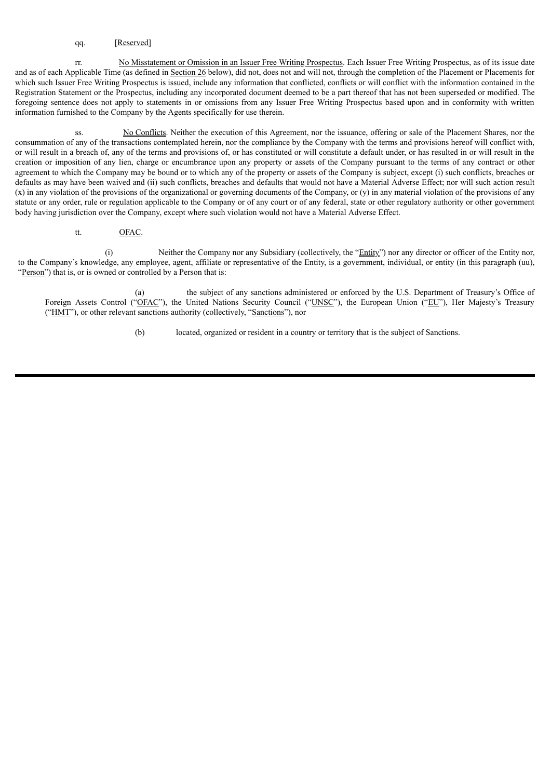#### qq. [Reserved]

rr. No Misstatement or Omission in an Issuer Free Writing Prospectus. Each Issuer Free Writing Prospectus, as of its issue date and as of each Applicable Time (as defined in Section 26 below), did not, does not and will not, through the completion of the Placement or Placements for which such Issuer Free Writing Prospectus is issued, include any information that conflicted, conflicts or will conflict with the information contained in the Registration Statement or the Prospectus, including any incorporated document deemed to be a part thereof that has not been superseded or modified. The foregoing sentence does not apply to statements in or omissions from any Issuer Free Writing Prospectus based upon and in conformity with written information furnished to the Company by the Agents specifically for use therein.

ss. No Conflicts. Neither the execution of this Agreement, nor the issuance, offering or sale of the Placement Shares, nor the consummation of any of the transactions contemplated herein, nor the compliance by the Company with the terms and provisions hereof will conflict with, or will result in a breach of, any of the terms and provisions of, or has constituted or will constitute a default under, or has resulted in or will result in the creation or imposition of any lien, charge or encumbrance upon any property or assets of the Company pursuant to the terms of any contract or other agreement to which the Company may be bound or to which any of the property or assets of the Company is subject, except (i) such conflicts, breaches or defaults as may have been waived and (ii) such conflicts, breaches and defaults that would not have a Material Adverse Effect; nor will such action result  $(x)$  in any violation of the provisions of the organizational or governing documents of the Company, or  $(y)$  in any material violation of the provisions of any statute or any order, rule or regulation applicable to the Company or of any court or of any federal, state or other regulatory authority or other government body having jurisdiction over the Company, except where such violation would not have a Material Adverse Effect.

tt. OFAC.

(i) Neither the Company nor any Subsidiary (collectively, the "Entity") nor any director or officer of the Entity nor, to the Company's knowledge, any employee, agent, affiliate or representative of the Entity, is a government, individual, or entity (in this paragraph (uu), "Person") that is, or is owned or controlled by a Person that is:

(a) the subject of any sanctions administered or enforced by the U.S. Department of Treasury's Office of Foreign Assets Control ("OFAC"), the United Nations Security Council ("UNSC"), the European Union ("EU"), Her Majesty's Treasury ("HMT"), or other relevant sanctions authority (collectively, "Sanctions"), nor

(b) located, organized or resident in a country or territory that is the subject of Sanctions.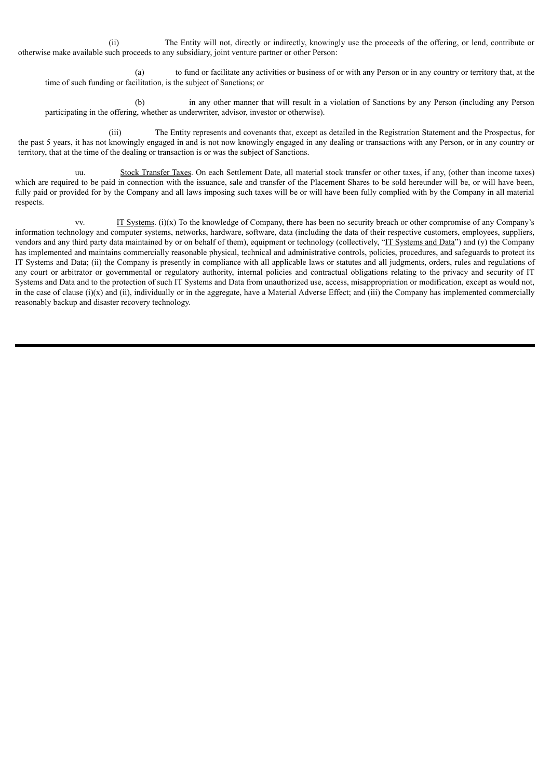(ii) The Entity will not, directly or indirectly, knowingly use the proceeds of the offering, or lend, contribute or otherwise make available such proceeds to any subsidiary, joint venture partner or other Person:

(a) to fund or facilitate any activities or business of or with any Person or in any country or territory that, at the time of such funding or facilitation, is the subject of Sanctions; or

(b) in any other manner that will result in a violation of Sanctions by any Person (including any Person participating in the offering, whether as underwriter, advisor, investor or otherwise).

(iii) The Entity represents and covenants that, except as detailed in the Registration Statement and the Prospectus, for the past 5 years, it has not knowingly engaged in and is not now knowingly engaged in any dealing or transactions with any Person, or in any country or territory, that at the time of the dealing or transaction is or was the subject of Sanctions.

uu. Stock Transfer Taxes. On each Settlement Date, all material stock transfer or other taxes, if any, (other than income taxes) which are required to be paid in connection with the issuance, sale and transfer of the Placement Shares to be sold hereunder will be, or will have been, fully paid or provided for by the Company and all laws imposing such taxes will be or will have been fully complied with by the Company in all material respects.

vv. IT Systems. (i)(x) To the knowledge of Company, there has been no security breach or other compromise of any Company's information technology and computer systems, networks, hardware, software, data (including the data of their respective customers, employees, suppliers, vendors and any third party data maintained by or on behalf of them), equipment or technology (collectively, "IT Systems and Data") and (y) the Company has implemented and maintains commercially reasonable physical, technical and administrative controls, policies, procedures, and safeguards to protect its IT Systems and Data; (ii) the Company is presently in compliance with all applicable laws or statutes and all judgments, orders, rules and regulations of any court or arbitrator or governmental or regulatory authority, internal policies and contractual obligations relating to the privacy and security of IT Systems and Data and to the protection of such IT Systems and Data from unauthorized use, access, misappropriation or modification, except as would not, in the case of clause (i)(x) and (ii), individually or in the aggregate, have a Material Adverse Effect; and (iii) the Company has implemented commercially reasonably backup and disaster recovery technology.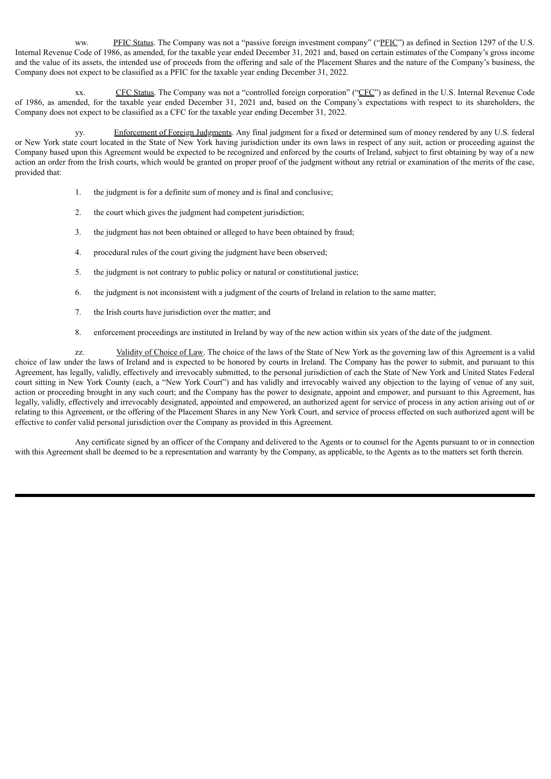ww. PFIC Status. The Company was not a "passive foreign investment company" ("PFIC") as defined in Section 1297 of the U.S. Internal Revenue Code of 1986, as amended, for the taxable year ended December 31, 2021 and, based on certain estimates of the Company's gross income and the value of its assets, the intended use of proceeds from the offering and sale of the Placement Shares and the nature of the Company's business, the Company does not expect to be classified as a PFIC for the taxable year ending December 31, 2022.

xx. CFC Status. The Company was not a "controlled foreign corporation" ("CFC") as defined in the U.S. Internal Revenue Code of 1986, as amended, for the taxable year ended December 31, 2021 and, based on the Company's expectations with respect to its shareholders, the Company does not expect to be classified as a CFC for the taxable year ending December 31, 2022.

yy. Enforcement of Foreign Judgments. Any final judgment for a fixed or determined sum of money rendered by any U.S. federal or New York state court located in the State of New York having jurisdiction under its own laws in respect of any suit, action or proceeding against the Company based upon this Agreement would be expected to be recognized and enforced by the courts of Ireland, subject to first obtaining by way of a new action an order from the Irish courts, which would be granted on proper proof of the judgment without any retrial or examination of the merits of the case, provided that:

- 1. the judgment is for a definite sum of money and is final and conclusive;
- 2. the court which gives the judgment had competent jurisdiction;
- 3. the judgment has not been obtained or alleged to have been obtained by fraud;
- 4. procedural rules of the court giving the judgment have been observed;
- 5. the judgment is not contrary to public policy or natural or constitutional justice;
- 6. the judgment is not inconsistent with a judgment of the courts of Ireland in relation to the same matter;
- 7. the Irish courts have jurisdiction over the matter; and
- 8. enforcement proceedings are instituted in Ireland by way of the new action within six years of the date of the judgment.

zz. Validity of Choice of Law. The choice of the laws of the State of New York as the governing law of this Agreement is a valid choice of law under the laws of Ireland and is expected to be honored by courts in Ireland. The Company has the power to submit, and pursuant to this Agreement, has legally, validly, effectively and irrevocably submitted, to the personal jurisdiction of each the State of New York and United States Federal court sitting in New York County (each, a "New York Court") and has validly and irrevocably waived any objection to the laying of venue of any suit, action or proceeding brought in any such court; and the Company has the power to designate, appoint and empower, and pursuant to this Agreement, has legally, validly, effectively and irrevocably designated, appointed and empowered, an authorized agent for service of process in any action arising out of or relating to this Agreement, or the offering of the Placement Shares in any New York Court, and service of process effected on such authorized agent will be effective to confer valid personal jurisdiction over the Company as provided in this Agreement.

Any certificate signed by an officer of the Company and delivered to the Agents or to counsel for the Agents pursuant to or in connection with this Agreement shall be deemed to be a representation and warranty by the Company, as applicable, to the Agents as to the matters set forth therein.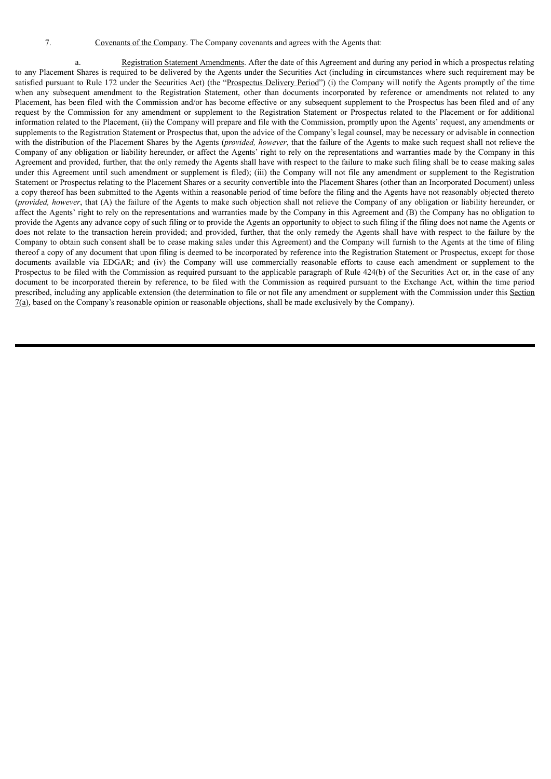a. Registration Statement Amendments. After the date of this Agreement and during any period in which a prospectus relating to any Placement Shares is required to be delivered by the Agents under the Securities Act (including in circumstances where such requirement may be satisfied pursuant to Rule 172 under the Securities Act) (the "Prospectus Delivery Period") (i) the Company will notify the Agents promptly of the time when any subsequent amendment to the Registration Statement, other than documents incorporated by reference or amendments not related to any Placement, has been filed with the Commission and/or has become effective or any subsequent supplement to the Prospectus has been filed and of any request by the Commission for any amendment or supplement to the Registration Statement or Prospectus related to the Placement or for additional information related to the Placement, (ii) the Company will prepare and file with the Commission, promptly upon the Agents' request, any amendments or supplements to the Registration Statement or Prospectus that, upon the advice of the Company's legal counsel, may be necessary or advisable in connection with the distribution of the Placement Shares by the Agents (*provided, however*, that the failure of the Agents to make such request shall not relieve the Company of any obligation or liability hereunder, or affect the Agents' right to rely on the representations and warranties made by the Company in this Agreement and provided, further, that the only remedy the Agents shall have with respect to the failure to make such filing shall be to cease making sales under this Agreement until such amendment or supplement is filed); (iii) the Company will not file any amendment or supplement to the Registration Statement or Prospectus relating to the Placement Shares or a security convertible into the Placement Shares (other than an Incorporated Document) unless a copy thereof has been submitted to the Agents within a reasonable period of time before the filing and the Agents have not reasonably objected thereto (*provided, however*, that (A) the failure of the Agents to make such objection shall not relieve the Company of any obligation or liability hereunder, or affect the Agents' right to rely on the representations and warranties made by the Company in this Agreement and (B) the Company has no obligation to provide the Agents any advance copy of such filing or to provide the Agents an opportunity to object to such filing if the filing does not name the Agents or does not relate to the transaction herein provided; and provided, further, that the only remedy the Agents shall have with respect to the failure by the Company to obtain such consent shall be to cease making sales under this Agreement) and the Company will furnish to the Agents at the time of filing thereof a copy of any document that upon filing is deemed to be incorporated by reference into the Registration Statement or Prospectus, except for those documents available via EDGAR; and (iv) the Company will use commercially reasonable efforts to cause each amendment or supplement to the Prospectus to be filed with the Commission as required pursuant to the applicable paragraph of Rule 424(b) of the Securities Act or, in the case of any document to be incorporated therein by reference, to be filed with the Commission as required pursuant to the Exchange Act, within the time period prescribed, including any applicable extension (the determination to file or not file any amendment or supplement with the Commission under this Section 7(a), based on the Company's reasonable opinion or reasonable objections, shall be made exclusively by the Company).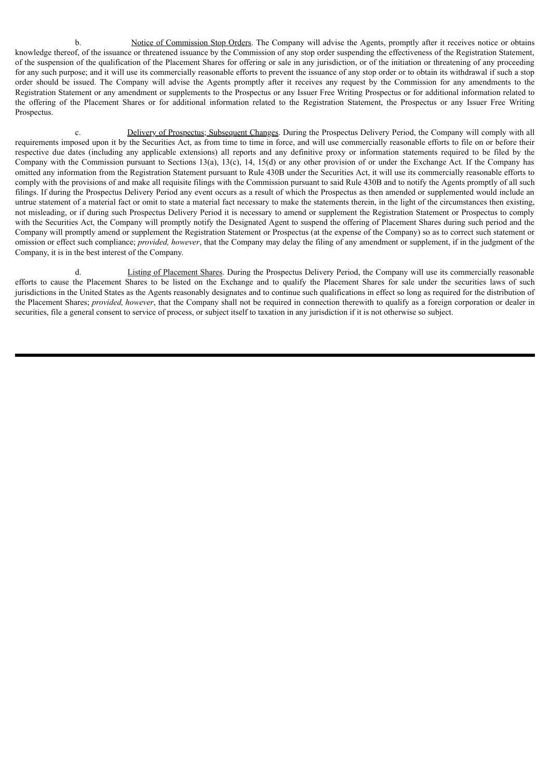b. Notice of Commission Stop Orders. The Company will advise the Agents, promptly after it receives notice or obtains knowledge thereof, of the issuance or threatened issuance by the Commission of any stop order suspending the effectiveness of the Registration Statement, of the suspension of the qualification of the Placement Shares for offering or sale in any jurisdiction, or of the initiation or threatening of any proceeding for any such purpose; and it will use its commercially reasonable efforts to prevent the issuance of any stop order or to obtain its withdrawal if such a stop order should be issued. The Company will advise the Agents promptly after it receives any request by the Commission for any amendments to the Registration Statement or any amendment or supplements to the Prospectus or any Issuer Free Writing Prospectus or for additional information related to the offering of the Placement Shares or for additional information related to the Registration Statement, the Prospectus or any Issuer Free Writing Prospectus.

c. Delivery of Prospectus; Subsequent Changes. During the Prospectus Delivery Period, the Company will comply with all requirements imposed upon it by the Securities Act, as from time to time in force, and will use commercially reasonable efforts to file on or before their respective due dates (including any applicable extensions) all reports and any definitive proxy or information statements required to be filed by the Company with the Commission pursuant to Sections 13(a), 13(c), 14, 15(d) or any other provision of or under the Exchange Act. If the Company has omitted any information from the Registration Statement pursuant to Rule 430B under the Securities Act, it will use its commercially reasonable efforts to comply with the provisions of and make all requisite filings with the Commission pursuant to said Rule 430B and to notify the Agents promptly of all such filings. If during the Prospectus Delivery Period any event occurs as a result of which the Prospectus as then amended or supplemented would include an untrue statement of a material fact or omit to state a material fact necessary to make the statements therein, in the light of the circumstances then existing, not misleading, or if during such Prospectus Delivery Period it is necessary to amend or supplement the Registration Statement or Prospectus to comply with the Securities Act, the Company will promptly notify the Designated Agent to suspend the offering of Placement Shares during such period and the Company will promptly amend or supplement the Registration Statement or Prospectus (at the expense of the Company) so as to correct such statement or omission or effect such compliance; *provided, however*, that the Company may delay the filing of any amendment or supplement, if in the judgment of the Company, it is in the best interest of the Company.

d. Listing of Placement Shares. During the Prospectus Delivery Period, the Company will use its commercially reasonable efforts to cause the Placement Shares to be listed on the Exchange and to qualify the Placement Shares for sale under the securities laws of such jurisdictions in the United States as the Agents reasonably designates and to continue such qualifications in effect so long as required for the distribution of the Placement Shares; *provided, however*, that the Company shall not be required in connection therewith to qualify as a foreign corporation or dealer in securities, file a general consent to service of process, or subject itself to taxation in any jurisdiction if it is not otherwise so subject.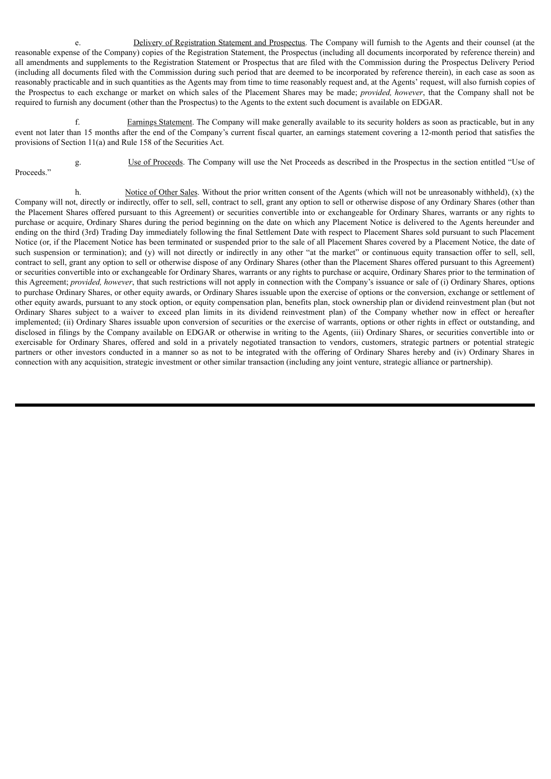e. Delivery of Registration Statement and Prospectus. The Company will furnish to the Agents and their counsel (at the reasonable expense of the Company) copies of the Registration Statement, the Prospectus (including all documents incorporated by reference therein) and all amendments and supplements to the Registration Statement or Prospectus that are filed with the Commission during the Prospectus Delivery Period (including all documents filed with the Commission during such period that are deemed to be incorporated by reference therein), in each case as soon as reasonably practicable and in such quantities as the Agents may from time to time reasonably request and, at the Agents' request, will also furnish copies of the Prospectus to each exchange or market on which sales of the Placement Shares may be made; *provided, however*, that the Company shall not be required to furnish any document (other than the Prospectus) to the Agents to the extent such document is available on EDGAR.

f. Earnings Statement. The Company will make generally available to its security holders as soon as practicable, but in any event not later than 15 months after the end of the Company's current fiscal quarter, an earnings statement covering a 12-month period that satisfies the provisions of Section 11(a) and Rule 158 of the Securities Act.

Proceeds."

g. Use of Proceeds. The Company will use the Net Proceeds as described in the Prospectus in the section entitled "Use of

h. Notice of Other Sales. Without the prior written consent of the Agents (which will not be unreasonably withheld), (x) the Company will not, directly or indirectly, offer to sell, sell, contract to sell, grant any option to sell or otherwise dispose of any Ordinary Shares (other than the Placement Shares offered pursuant to this Agreement) or securities convertible into or exchangeable for Ordinary Shares, warrants or any rights to purchase or acquire, Ordinary Shares during the period beginning on the date on which any Placement Notice is delivered to the Agents hereunder and ending on the third (3rd) Trading Day immediately following the final Settlement Date with respect to Placement Shares sold pursuant to such Placement Notice (or, if the Placement Notice has been terminated or suspended prior to the sale of all Placement Shares covered by a Placement Notice, the date of such suspension or termination); and (y) will not directly or indirectly in any other "at the market" or continuous equity transaction offer to sell, sell, contract to sell, grant any option to sell or otherwise dispose of any Ordinary Shares (other than the Placement Shares offered pursuant to this Agreement) or securities convertible into or exchangeable for Ordinary Shares, warrants or any rights to purchase or acquire, Ordinary Shares prior to the termination of this Agreement; *provided, however*, that such restrictions will not apply in connection with the Company's issuance or sale of (i) Ordinary Shares, options to purchase Ordinary Shares, or other equity awards, or Ordinary Shares issuable upon the exercise of options or the conversion, exchange or settlement of other equity awards, pursuant to any stock option, or equity compensation plan, benefits plan, stock ownership plan or dividend reinvestment plan (but not Ordinary Shares subject to a waiver to exceed plan limits in its dividend reinvestment plan) of the Company whether now in effect or hereafter implemented; (ii) Ordinary Shares issuable upon conversion of securities or the exercise of warrants, options or other rights in effect or outstanding, and disclosed in filings by the Company available on EDGAR or otherwise in writing to the Agents, (iii) Ordinary Shares, or securities convertible into or exercisable for Ordinary Shares, offered and sold in a privately negotiated transaction to vendors, customers, strategic partners or potential strategic partners or other investors conducted in a manner so as not to be integrated with the offering of Ordinary Shares hereby and (iv) Ordinary Shares in connection with any acquisition, strategic investment or other similar transaction (including any joint venture, strategic alliance or partnership).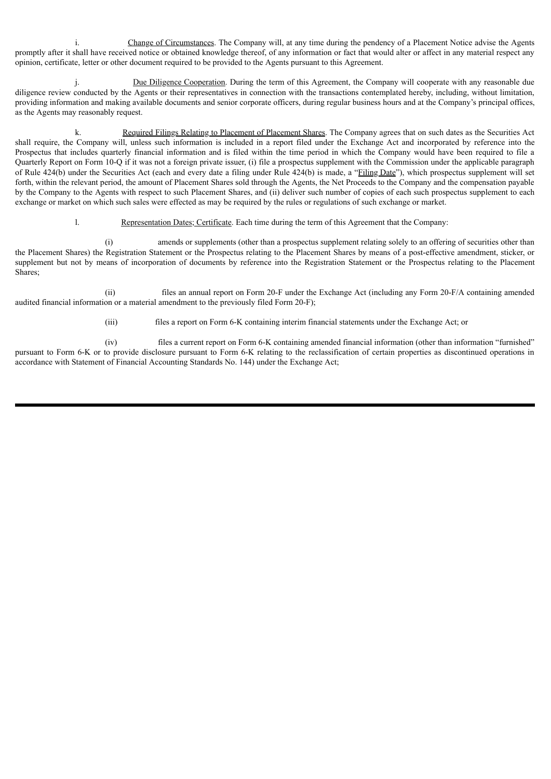i. Change of Circumstances. The Company will, at any time during the pendency of a Placement Notice advise the Agents promptly after it shall have received notice or obtained knowledge thereof, of any information or fact that would alter or affect in any material respect any opinion, certificate, letter or other document required to be provided to the Agents pursuant to this Agreement.

Due Diligence Cooperation. During the term of this Agreement, the Company will cooperate with any reasonable due diligence review conducted by the Agents or their representatives in connection with the transactions contemplated hereby, including, without limitation, providing information and making available documents and senior corporate officers, during regular business hours and at the Company's principal offices, as the Agents may reasonably request.

k. Required Filings Relating to Placement of Placement Shares. The Company agrees that on such dates as the Securities Act shall require, the Company will, unless such information is included in a report filed under the Exchange Act and incorporated by reference into the Prospectus that includes quarterly financial information and is filed within the time period in which the Company would have been required to file a Quarterly Report on Form 10-Q if it was not a foreign private issuer, (i) file a prospectus supplement with the Commission under the applicable paragraph of Rule 424(b) under the Securities Act (each and every date a filing under Rule 424(b) is made, a "Filing Date"), which prospectus supplement will set forth, within the relevant period, the amount of Placement Shares sold through the Agents, the Net Proceeds to the Company and the compensation payable by the Company to the Agents with respect to such Placement Shares, and (ii) deliver such number of copies of each such prospectus supplement to each exchange or market on which such sales were effected as may be required by the rules or regulations of such exchange or market.

l. Representation Dates; Certificate. Each time during the term of this Agreement that the Company:

(i) amends or supplements (other than a prospectus supplement relating solely to an offering of securities other than the Placement Shares) the Registration Statement or the Prospectus relating to the Placement Shares by means of a post-effective amendment, sticker, or supplement but not by means of incorporation of documents by reference into the Registration Statement or the Prospectus relating to the Placement Shares;

(ii) files an annual report on Form 20-F under the Exchange Act (including any Form 20-F/A containing amended audited financial information or a material amendment to the previously filed Form 20-F);

(iii) files a report on Form 6-K containing interim financial statements under the Exchange Act; or

(iv) files a current report on Form 6-K containing amended financial information (other than information "furnished" pursuant to Form 6-K or to provide disclosure pursuant to Form 6-K relating to the reclassification of certain properties as discontinued operations in accordance with Statement of Financial Accounting Standards No. 144) under the Exchange Act;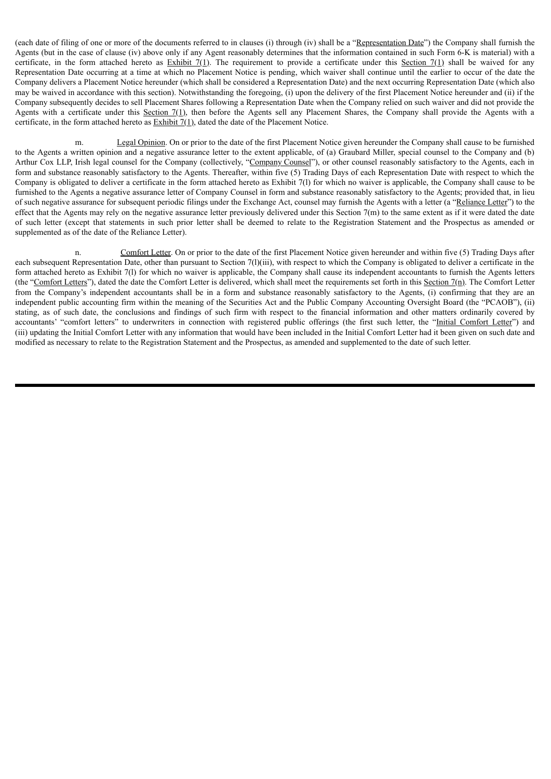(each date of filing of one or more of the documents referred to in clauses (i) through (iv) shall be a "Representation Date") the Company shall furnish the Agents (but in the case of clause (iv) above only if any Agent reasonably determines that the information contained in such Form 6-K is material) with a certificate, in the form attached hereto as Exhibit  $7(1)$ . The requirement to provide a certificate under this Section  $7(1)$  shall be waived for any Representation Date occurring at a time at which no Placement Notice is pending, which waiver shall continue until the earlier to occur of the date the Company delivers a Placement Notice hereunder (which shall be considered a Representation Date) and the next occurring Representation Date (which also may be waived in accordance with this section). Notwithstanding the foregoing, (i) upon the delivery of the first Placement Notice hereunder and (ii) if the Company subsequently decides to sell Placement Shares following a Representation Date when the Company relied on such waiver and did not provide the Agents with a certificate under this Section 7(1), then before the Agents sell any Placement Shares, the Company shall provide the Agents with a certificate, in the form attached hereto as Exhibit 7(1), dated the date of the Placement Notice.

m. Legal Opinion. On or prior to the date of the first Placement Notice given hereunder the Company shall cause to be furnished to the Agents a written opinion and a negative assurance letter to the extent applicable, of (a) Graubard Miller, special counsel to the Company and (b) Arthur Cox LLP, Irish legal counsel for the Company (collectively, "Company Counsel"), or other counsel reasonably satisfactory to the Agents, each in form and substance reasonably satisfactory to the Agents. Thereafter, within five (5) Trading Days of each Representation Date with respect to which the Company is obligated to deliver a certificate in the form attached hereto as Exhibit 7(l) for which no waiver is applicable, the Company shall cause to be furnished to the Agents a negative assurance letter of Company Counsel in form and substance reasonably satisfactory to the Agents; provided that, in lieu of such negative assurance for subsequent periodic filings under the Exchange Act, counsel may furnish the Agents with a letter (a "Reliance Letter") to the effect that the Agents may rely on the negative assurance letter previously delivered under this Section 7(m) to the same extent as if it were dated the date of such letter (except that statements in such prior letter shall be deemed to relate to the Registration Statement and the Prospectus as amended or supplemented as of the date of the Reliance Letter).

n. Comfort Letter. On or prior to the date of the first Placement Notice given hereunder and within five (5) Trading Days after each subsequent Representation Date, other than pursuant to Section 7(l)(iii), with respect to which the Company is obligated to deliver a certificate in the form attached hereto as Exhibit 7(l) for which no waiver is applicable, the Company shall cause its independent accountants to furnish the Agents letters (the "Comfort Letters"), dated the date the Comfort Letter is delivered, which shall meet the requirements set forth in this Section 7(n). The Comfort Letter from the Company's independent accountants shall be in a form and substance reasonably satisfactory to the Agents, (i) confirming that they are an independent public accounting firm within the meaning of the Securities Act and the Public Company Accounting Oversight Board (the "PCAOB"), (ii) stating, as of such date, the conclusions and findings of such firm with respect to the financial information and other matters ordinarily covered by accountants' "comfort letters" to underwriters in connection with registered public offerings (the first such letter, the "Initial Comfort Letter") and (iii) updating the Initial Comfort Letter with any information that would have been included in the Initial Comfort Letter had it been given on such date and modified as necessary to relate to the Registration Statement and the Prospectus, as amended and supplemented to the date of such letter.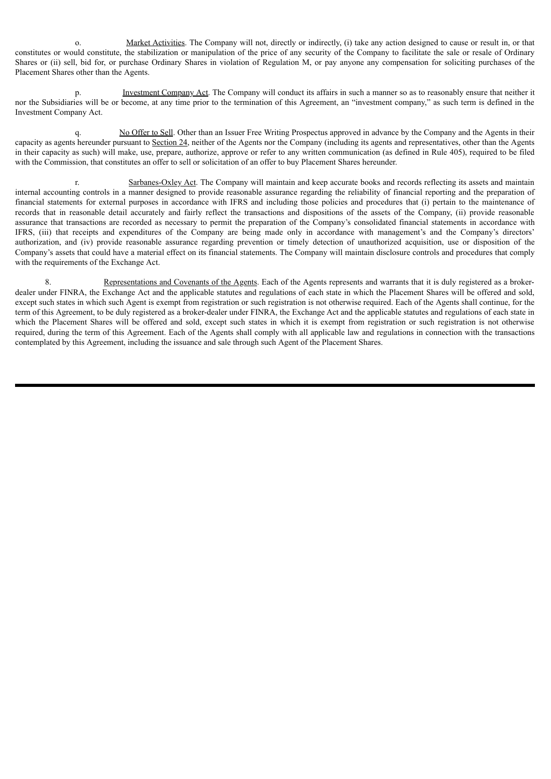o. Market Activities. The Company will not, directly or indirectly, (i) take any action designed to cause or result in, or that constitutes or would constitute, the stabilization or manipulation of the price of any security of the Company to facilitate the sale or resale of Ordinary Shares or (ii) sell, bid for, or purchase Ordinary Shares in violation of Regulation M, or pay anyone any compensation for soliciting purchases of the Placement Shares other than the Agents.

p. Investment Company Act. The Company will conduct its affairs in such a manner so as to reasonably ensure that neither it nor the Subsidiaries will be or become, at any time prior to the termination of this Agreement, an "investment company," as such term is defined in the Investment Company Act.

q. No Offer to Sell. Other than an Issuer Free Writing Prospectus approved in advance by the Company and the Agents in their capacity as agents hereunder pursuant to Section 24, neither of the Agents nor the Company (including its agents and representatives, other than the Agents in their capacity as such) will make, use, prepare, authorize, approve or refer to any written communication (as defined in Rule 405), required to be filed with the Commission, that constitutes an offer to sell or solicitation of an offer to buy Placement Shares hereunder.

r. Sarbanes-Oxley Act. The Company will maintain and keep accurate books and records reflecting its assets and maintain internal accounting controls in a manner designed to provide reasonable assurance regarding the reliability of financial reporting and the preparation of financial statements for external purposes in accordance with IFRS and including those policies and procedures that (i) pertain to the maintenance of records that in reasonable detail accurately and fairly reflect the transactions and dispositions of the assets of the Company, (ii) provide reasonable assurance that transactions are recorded as necessary to permit the preparation of the Company's consolidated financial statements in accordance with IFRS, (iii) that receipts and expenditures of the Company are being made only in accordance with management's and the Company's directors' authorization, and (iv) provide reasonable assurance regarding prevention or timely detection of unauthorized acquisition, use or disposition of the Company's assets that could have a material effect on its financial statements. The Company will maintain disclosure controls and procedures that comply with the requirements of the Exchange Act.

8. Representations and Covenants of the Agents. Each of the Agents represents and warrants that it is duly registered as a brokerdealer under FINRA, the Exchange Act and the applicable statutes and regulations of each state in which the Placement Shares will be offered and sold, except such states in which such Agent is exempt from registration or such registration is not otherwise required. Each of the Agents shall continue, for the term of this Agreement, to be duly registered as a broker-dealer under FINRA, the Exchange Act and the applicable statutes and regulations of each state in which the Placement Shares will be offered and sold, except such states in which it is exempt from registration or such registration is not otherwise required, during the term of this Agreement. Each of the Agents shall comply with all applicable law and regulations in connection with the transactions contemplated by this Agreement, including the issuance and sale through such Agent of the Placement Shares.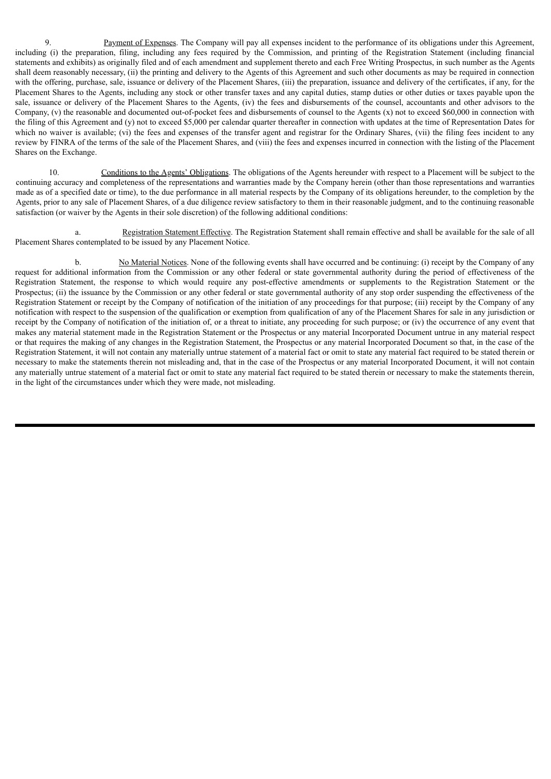9. Payment of Expenses. The Company will pay all expenses incident to the performance of its obligations under this Agreement, including (i) the preparation, filing, including any fees required by the Commission, and printing of the Registration Statement (including financial statements and exhibits) as originally filed and of each amendment and supplement thereto and each Free Writing Prospectus, in such number as the Agents shall deem reasonably necessary, (ii) the printing and delivery to the Agents of this Agreement and such other documents as may be required in connection with the offering, purchase, sale, issuance or delivery of the Placement Shares, (iii) the preparation, issuance and delivery of the certificates, if any, for the Placement Shares to the Agents, including any stock or other transfer taxes and any capital duties, stamp duties or other duties or taxes payable upon the sale, issuance or delivery of the Placement Shares to the Agents, (iv) the fees and disbursements of the counsel, accountants and other advisors to the Company, (v) the reasonable and documented out-of-pocket fees and disbursements of counsel to the Agents (x) not to exceed \$60,000 in connection with the filing of this Agreement and (y) not to exceed \$5,000 per calendar quarter thereafter in connection with updates at the time of Representation Dates for which no waiver is available; (vi) the fees and expenses of the transfer agent and registrar for the Ordinary Shares, (vii) the filing fees incident to any review by FINRA of the terms of the sale of the Placement Shares, and (viii) the fees and expenses incurred in connection with the listing of the Placement Shares on the Exchange.

10. Conditions to the Agents' Obligations. The obligations of the Agents hereunder with respect to a Placement will be subject to the continuing accuracy and completeness of the representations and warranties made by the Company herein (other than those representations and warranties made as of a specified date or time), to the due performance in all material respects by the Company of its obligations hereunder, to the completion by the Agents, prior to any sale of Placement Shares, of a due diligence review satisfactory to them in their reasonable judgment, and to the continuing reasonable satisfaction (or waiver by the Agents in their sole discretion) of the following additional conditions:

a. Registration Statement Effective. The Registration Statement shall remain effective and shall be available for the sale of all Placement Shares contemplated to be issued by any Placement Notice.

b. No Material Notices. None of the following events shall have occurred and be continuing: (i) receipt by the Company of any request for additional information from the Commission or any other federal or state governmental authority during the period of effectiveness of the Registration Statement, the response to which would require any post-effective amendments or supplements to the Registration Statement or the Prospectus; (ii) the issuance by the Commission or any other federal or state governmental authority of any stop order suspending the effectiveness of the Registration Statement or receipt by the Company of notification of the initiation of any proceedings for that purpose; (iii) receipt by the Company of any notification with respect to the suspension of the qualification or exemption from qualification of any of the Placement Shares for sale in any jurisdiction or receipt by the Company of notification of the initiation of, or a threat to initiate, any proceeding for such purpose; or (iv) the occurrence of any event that makes any material statement made in the Registration Statement or the Prospectus or any material Incorporated Document untrue in any material respect or that requires the making of any changes in the Registration Statement, the Prospectus or any material Incorporated Document so that, in the case of the Registration Statement, it will not contain any materially untrue statement of a material fact or omit to state any material fact required to be stated therein or necessary to make the statements therein not misleading and, that in the case of the Prospectus or any material Incorporated Document, it will not contain any materially untrue statement of a material fact or omit to state any material fact required to be stated therein or necessary to make the statements therein, in the light of the circumstances under which they were made, not misleading.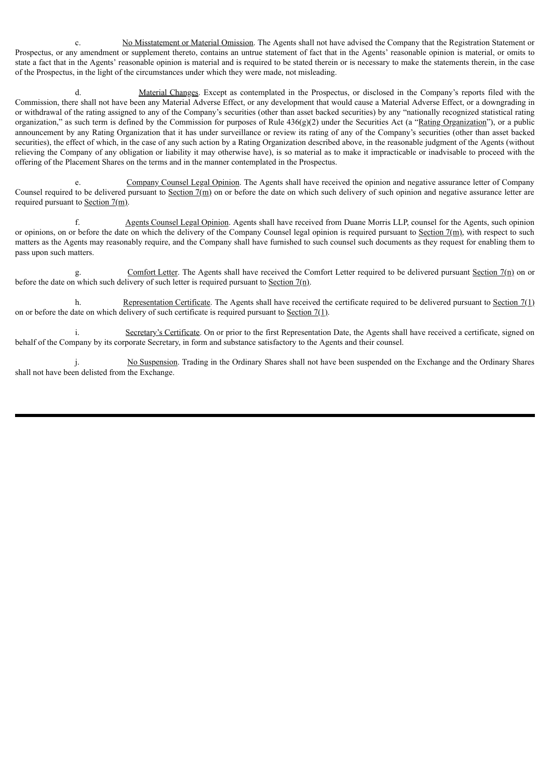c. No Misstatement or Material Omission. The Agents shall not have advised the Company that the Registration Statement or Prospectus, or any amendment or supplement thereto, contains an untrue statement of fact that in the Agents' reasonable opinion is material, or omits to state a fact that in the Agents' reasonable opinion is material and is required to be stated therein or is necessary to make the statements therein, in the case of the Prospectus, in the light of the circumstances under which they were made, not misleading.

d. Material Changes. Except as contemplated in the Prospectus, or disclosed in the Company's reports filed with the Commission, there shall not have been any Material Adverse Effect, or any development that would cause a Material Adverse Effect, or a downgrading in or withdrawal of the rating assigned to any of the Company's securities (other than asset backed securities) by any "nationally recognized statistical rating organization," as such term is defined by the Commission for purposes of Rule  $436(g)(2)$  under the Securities Act (a "Rating Organization"), or a public announcement by any Rating Organization that it has under surveillance or review its rating of any of the Company's securities (other than asset backed securities), the effect of which, in the case of any such action by a Rating Organization described above, in the reasonable judgment of the Agents (without relieving the Company of any obligation or liability it may otherwise have), is so material as to make it impracticable or inadvisable to proceed with the offering of the Placement Shares on the terms and in the manner contemplated in the Prospectus.

e. Company Counsel Legal Opinion. The Agents shall have received the opinion and negative assurance letter of Company Counsel required to be delivered pursuant to Section 7(m) on or before the date on which such delivery of such opinion and negative assurance letter are required pursuant to Section  $7(m)$ .

f. Agents Counsel Legal Opinion. Agents shall have received from Duane Morris LLP, counsel for the Agents, such opinion or opinions, on or before the date on which the delivery of the Company Counsel legal opinion is required pursuant to Section  $7(m)$ , with respect to such matters as the Agents may reasonably require, and the Company shall have furnished to such counsel such documents as they request for enabling them to pass upon such matters.

g. Comfort Letter. The Agents shall have received the Comfort Letter required to be delivered pursuant Section 7(n) on or before the date on which such delivery of such letter is required pursuant to Section 7(n).

h. Representation Certificate. The Agents shall have received the certificate required to be delivered pursuant to Section  $7(1)$ on or before the date on which delivery of such certificate is required pursuant to Section 7(1).

Secretary's Certificate. On or prior to the first Representation Date, the Agents shall have received a certificate, signed on behalf of the Company by its corporate Secretary, in form and substance satisfactory to the Agents and their counsel.

No Suspension. Trading in the Ordinary Shares shall not have been suspended on the Exchange and the Ordinary Shares shall not have been delisted from the Exchange.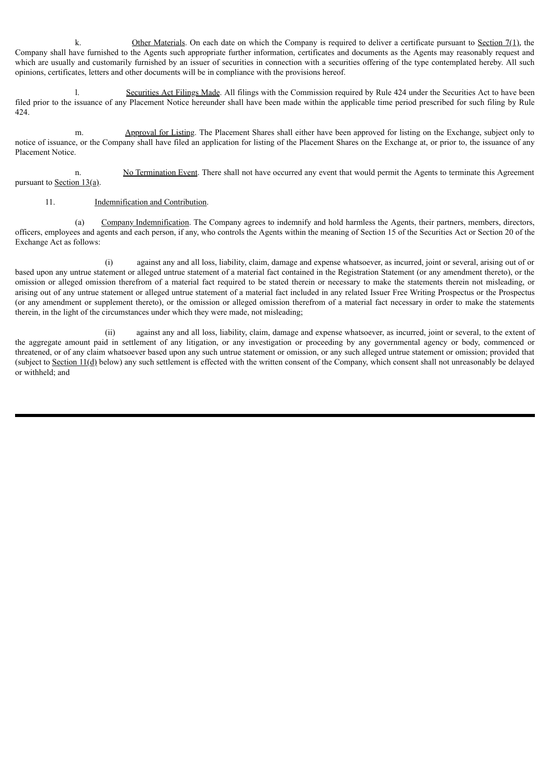k. Other Materials. On each date on which the Company is required to deliver a certificate pursuant to Section  $7(1)$ , the Company shall have furnished to the Agents such appropriate further information, certificates and documents as the Agents may reasonably request and which are usually and customarily furnished by an issuer of securities in connection with a securities offering of the type contemplated hereby. All such opinions, certificates, letters and other documents will be in compliance with the provisions hereof.

l. Securities Act Filings Made. All filings with the Commission required by Rule 424 under the Securities Act to have been filed prior to the issuance of any Placement Notice hereunder shall have been made within the applicable time period prescribed for such filing by Rule 424.

m. Approval for Listing. The Placement Shares shall either have been approved for listing on the Exchange, subject only to notice of issuance, or the Company shall have filed an application for listing of the Placement Shares on the Exchange at, or prior to, the issuance of any Placement Notice.

n. No Termination Event. There shall not have occurred any event that would permit the Agents to terminate this Agreement pursuant to Section  $13(a)$ .

## 11. Indemnification and Contribution.

(a) Company Indemnification. The Company agrees to indemnify and hold harmless the Agents, their partners, members, directors, officers, employees and agents and each person, if any, who controls the Agents within the meaning of Section 15 of the Securities Act or Section 20 of the Exchange Act as follows:

(i) against any and all loss, liability, claim, damage and expense whatsoever, as incurred, joint or several, arising out of or based upon any untrue statement or alleged untrue statement of a material fact contained in the Registration Statement (or any amendment thereto), or the omission or alleged omission therefrom of a material fact required to be stated therein or necessary to make the statements therein not misleading, or arising out of any untrue statement or alleged untrue statement of a material fact included in any related Issuer Free Writing Prospectus or the Prospectus (or any amendment or supplement thereto), or the omission or alleged omission therefrom of a material fact necessary in order to make the statements therein, in the light of the circumstances under which they were made, not misleading;

(ii) against any and all loss, liability, claim, damage and expense whatsoever, as incurred, joint or several, to the extent of the aggregate amount paid in settlement of any litigation, or any investigation or proceeding by any governmental agency or body, commenced or threatened, or of any claim whatsoever based upon any such untrue statement or omission, or any such alleged untrue statement or omission; provided that (subject to Section  $11(d)$  below) any such settlement is effected with the written consent of the Company, which consent shall not unreasonably be delayed or withheld; and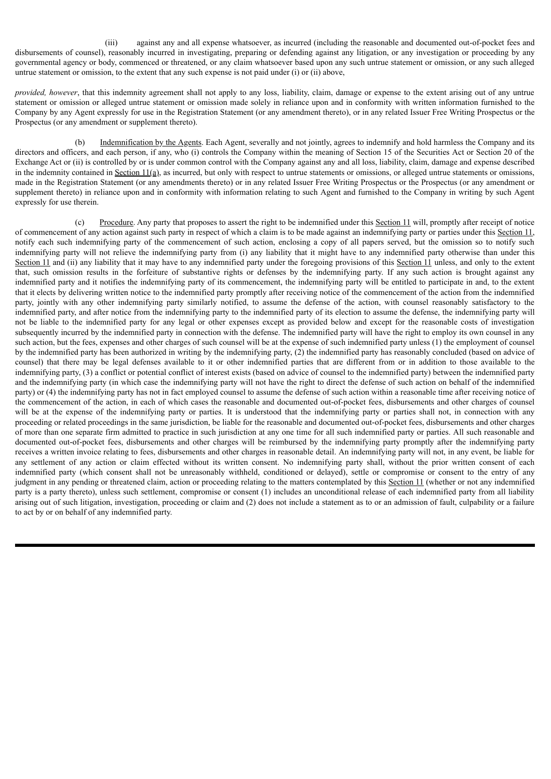(iii) against any and all expense whatsoever, as incurred (including the reasonable and documented out-of-pocket fees and disbursements of counsel), reasonably incurred in investigating, preparing or defending against any litigation, or any investigation or proceeding by any governmental agency or body, commenced or threatened, or any claim whatsoever based upon any such untrue statement or omission, or any such alleged untrue statement or omission, to the extent that any such expense is not paid under (i) or (ii) above,

*provided, however*, that this indemnity agreement shall not apply to any loss, liability, claim, damage or expense to the extent arising out of any untrue statement or omission or alleged untrue statement or omission made solely in reliance upon and in conformity with written information furnished to the Company by any Agent expressly for use in the Registration Statement (or any amendment thereto), or in any related Issuer Free Writing Prospectus or the Prospectus (or any amendment or supplement thereto).

(b) Indemnification by the Agents. Each Agent, severally and not jointly, agrees to indemnify and hold harmless the Company and its directors and officers, and each person, if any, who (i) controls the Company within the meaning of Section 15 of the Securities Act or Section 20 of the Exchange Act or (ii) is controlled by or is under common control with the Company against any and all loss, liability, claim, damage and expense described in the indemnity contained in Section  $11(a)$ , as incurred, but only with respect to untrue statements or omissions, or alleged untrue statements or omissions, made in the Registration Statement (or any amendments thereto) or in any related Issuer Free Writing Prospectus or the Prospectus (or any amendment or supplement thereto) in reliance upon and in conformity with information relating to such Agent and furnished to the Company in writing by such Agent expressly for use therein.

(c) Procedure. Any party that proposes to assert the right to be indemnified under this Section 11 will, promptly after receipt of notice of commencement of any action against such party in respect of which a claim is to be made against an indemnifying party or parties under this Section 11, notify each such indemnifying party of the commencement of such action, enclosing a copy of all papers served, but the omission so to notify such indemnifying party will not relieve the indemnifying party from (i) any liability that it might have to any indemnified party otherwise than under this Section 11 and (ii) any liability that it may have to any indemnified party under the foregoing provisions of this Section 11 unless, and only to the extent that, such omission results in the forfeiture of substantive rights or defenses by the indemnifying party. If any such action is brought against any indemnified party and it notifies the indemnifying party of its commencement, the indemnifying party will be entitled to participate in and, to the extent that it elects by delivering written notice to the indemnified party promptly after receiving notice of the commencement of the action from the indemnified party, jointly with any other indemnifying party similarly notified, to assume the defense of the action, with counsel reasonably satisfactory to the indemnified party, and after notice from the indemnifying party to the indemnified party of its election to assume the defense, the indemnifying party will not be liable to the indemnified party for any legal or other expenses except as provided below and except for the reasonable costs of investigation subsequently incurred by the indemnified party in connection with the defense. The indemnified party will have the right to employ its own counsel in any such action, but the fees, expenses and other charges of such counsel will be at the expense of such indemnified party unless (1) the employment of counsel by the indemnified party has been authorized in writing by the indemnifying party, (2) the indemnified party has reasonably concluded (based on advice of counsel) that there may be legal defenses available to it or other indemnified parties that are different from or in addition to those available to the indemnifying party, (3) a conflict or potential conflict of interest exists (based on advice of counsel to the indemnified party) between the indemnified party and the indemnifying party (in which case the indemnifying party will not have the right to direct the defense of such action on behalf of the indemnified party) or (4) the indemnifying party has not in fact employed counsel to assume the defense of such action within a reasonable time after receiving notice of the commencement of the action, in each of which cases the reasonable and documented out-of-pocket fees, disbursements and other charges of counsel will be at the expense of the indemnifying party or parties. It is understood that the indemnifying party or parties shall not, in connection with any proceeding or related proceedings in the same jurisdiction, be liable for the reasonable and documented out-of-pocket fees, disbursements and other charges of more than one separate firm admitted to practice in such jurisdiction at any one time for all such indemnified party or parties. All such reasonable and documented out-of-pocket fees, disbursements and other charges will be reimbursed by the indemnifying party promptly after the indemnifying party receives a written invoice relating to fees, disbursements and other charges in reasonable detail. An indemnifying party will not, in any event, be liable for any settlement of any action or claim effected without its written consent. No indemnifying party shall, without the prior written consent of each indemnified party (which consent shall not be unreasonably withheld, conditioned or delayed), settle or compromise or consent to the entry of any judgment in any pending or threatened claim, action or proceeding relating to the matters contemplated by this Section 11 (whether or not any indemnified party is a party thereto), unless such settlement, compromise or consent (1) includes an unconditional release of each indemnified party from all liability arising out of such litigation, investigation, proceeding or claim and (2) does not include a statement as to or an admission of fault, culpability or a failure to act by or on behalf of any indemnified party.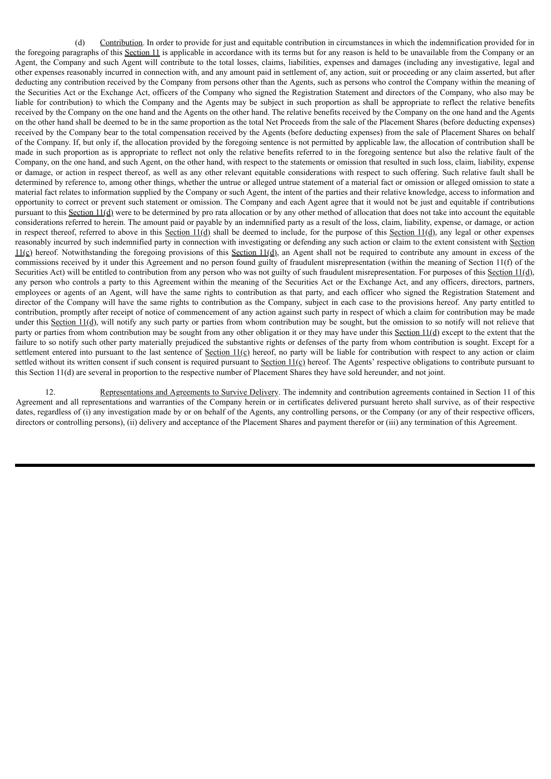(d) Contribution. In order to provide for just and equitable contribution in circumstances in which the indemnification provided for in the foregoing paragraphs of this Section 11 is applicable in accordance with its terms but for any reason is held to be unavailable from the Company or an Agent, the Company and such Agent will contribute to the total losses, claims, liabilities, expenses and damages (including any investigative, legal and other expenses reasonably incurred in connection with, and any amount paid in settlement of, any action, suit or proceeding or any claim asserted, but after deducting any contribution received by the Company from persons other than the Agents, such as persons who control the Company within the meaning of the Securities Act or the Exchange Act, officers of the Company who signed the Registration Statement and directors of the Company, who also may be liable for contribution) to which the Company and the Agents may be subject in such proportion as shall be appropriate to reflect the relative benefits received by the Company on the one hand and the Agents on the other hand. The relative benefits received by the Company on the one hand and the Agents on the other hand shall be deemed to be in the same proportion as the total Net Proceeds from the sale of the Placement Shares (before deducting expenses) received by the Company bear to the total compensation received by the Agents (before deducting expenses) from the sale of Placement Shares on behalf of the Company. If, but only if, the allocation provided by the foregoing sentence is not permitted by applicable law, the allocation of contribution shall be made in such proportion as is appropriate to reflect not only the relative benefits referred to in the foregoing sentence but also the relative fault of the Company, on the one hand, and such Agent, on the other hand, with respect to the statements or omission that resulted in such loss, claim, liability, expense or damage, or action in respect thereof, as well as any other relevant equitable considerations with respect to such offering. Such relative fault shall be determined by reference to, among other things, whether the untrue or alleged untrue statement of a material fact or omission or alleged omission to state a material fact relates to information supplied by the Company or such Agent, the intent of the parties and their relative knowledge, access to information and opportunity to correct or prevent such statement or omission. The Company and each Agent agree that it would not be just and equitable if contributions pursuant to this Section  $11(d)$  were to be determined by pro rata allocation or by any other method of allocation that does not take into account the equitable considerations referred to herein. The amount paid or payable by an indemnified party as a result of the loss, claim, liability, expense, or damage, or action in respect thereof, referred to above in this Section  $11(d)$  shall be deemed to include, for the purpose of this Section  $11(d)$ , any legal or other expenses reasonably incurred by such indemnified party in connection with investigating or defending any such action or claim to the extent consistent with Section  $11(c)$  hereof. Notwithstanding the foregoing provisions of this Section  $11(d)$ , an Agent shall not be required to contribute any amount in excess of the commissions received by it under this Agreement and no person found guilty of fraudulent misrepresentation (within the meaning of Section 11(f) of the Securities Act) will be entitled to contribution from any person who was not guilty of such fraudulent misrepresentation. For purposes of this Section 11(d), any person who controls a party to this Agreement within the meaning of the Securities Act or the Exchange Act, and any officers, directors, partners, employees or agents of an Agent, will have the same rights to contribution as that party, and each officer who signed the Registration Statement and director of the Company will have the same rights to contribution as the Company, subject in each case to the provisions hereof. Any party entitled to contribution, promptly after receipt of notice of commencement of any action against such party in respect of which a claim for contribution may be made under this Section 11(d), will notify any such party or parties from whom contribution may be sought, but the omission to so notify will not relieve that party or parties from whom contribution may be sought from any other obligation it or they may have under this Section 11(d) except to the extent that the failure to so notify such other party materially prejudiced the substantive rights or defenses of the party from whom contribution is sought. Except for a settlement entered into pursuant to the last sentence of Section  $11(\text{c})$  hereof, no party will be liable for contribution with respect to any action or claim settled without its written consent if such consent is required pursuant to Section  $11(\text{c})$  hereof. The Agents' respective obligations to contribute pursuant to this Section 11(d) are several in proportion to the respective number of Placement Shares they have sold hereunder, and not joint.

12. Representations and Agreements to Survive Delivery. The indemnity and contribution agreements contained in Section 11 of this Agreement and all representations and warranties of the Company herein or in certificates delivered pursuant hereto shall survive, as of their respective dates, regardless of (i) any investigation made by or on behalf of the Agents, any controlling persons, or the Company (or any of their respective officers, directors or controlling persons), (ii) delivery and acceptance of the Placement Shares and payment therefor or (iii) any termination of this Agreement.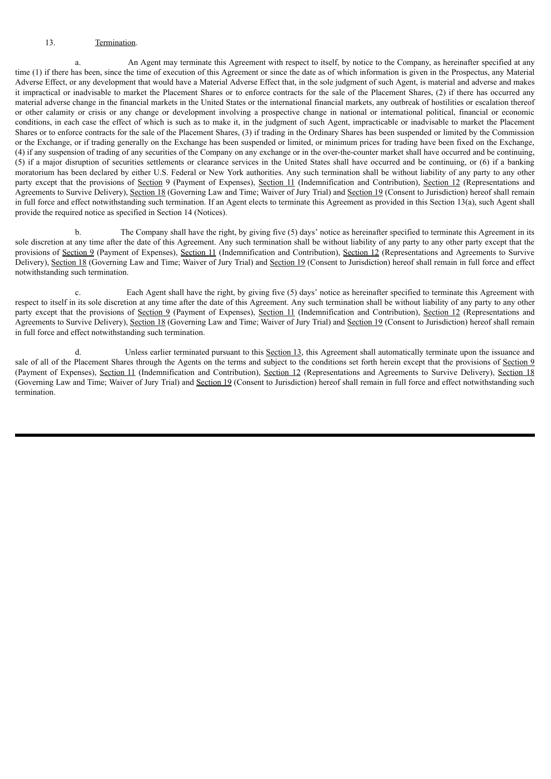# 13. Termination.

a. An Agent may terminate this Agreement with respect to itself, by notice to the Company, as hereinafter specified at any time (1) if there has been, since the time of execution of this Agreement or since the date as of which information is given in the Prospectus, any Material Adverse Effect, or any development that would have a Material Adverse Effect that, in the sole judgment of such Agent, is material and adverse and makes it impractical or inadvisable to market the Placement Shares or to enforce contracts for the sale of the Placement Shares, (2) if there has occurred any material adverse change in the financial markets in the United States or the international financial markets, any outbreak of hostilities or escalation thereof or other calamity or crisis or any change or development involving a prospective change in national or international political, financial or economic conditions, in each case the effect of which is such as to make it, in the judgment of such Agent, impracticable or inadvisable to market the Placement Shares or to enforce contracts for the sale of the Placement Shares, (3) if trading in the Ordinary Shares has been suspended or limited by the Commission or the Exchange, or if trading generally on the Exchange has been suspended or limited, or minimum prices for trading have been fixed on the Exchange, (4) if any suspension of trading of any securities of the Company on any exchange or in the over-the-counter market shall have occurred and be continuing, (5) if a major disruption of securities settlements or clearance services in the United States shall have occurred and be continuing, or (6) if a banking moratorium has been declared by either U.S. Federal or New York authorities. Any such termination shall be without liability of any party to any other party except that the provisions of Section 9 (Payment of Expenses), Section 11 (Indemnification and Contribution), Section 12 (Representations and Agreements to Survive Delivery), Section 18 (Governing Law and Time; Waiver of Jury Trial) and Section 19 (Consent to Jurisdiction) hereof shall remain in full force and effect notwithstanding such termination. If an Agent elects to terminate this Agreement as provided in this Section 13(a), such Agent shall provide the required notice as specified in Section 14 (Notices).

b. The Company shall have the right, by giving five (5) days' notice as hereinafter specified to terminate this Agreement in its sole discretion at any time after the date of this Agreement. Any such termination shall be without liability of any party to any other party except that the provisions of Section 9 (Payment of Expenses), Section 11 (Indemnification and Contribution), Section 12 (Representations and Agreements to Survive Delivery), Section 18 (Governing Law and Time; Waiver of Jury Trial) and Section 19 (Consent to Jurisdiction) hereof shall remain in full force and effect notwithstanding such termination.

c. Each Agent shall have the right, by giving five (5) days' notice as hereinafter specified to terminate this Agreement with respect to itself in its sole discretion at any time after the date of this Agreement. Any such termination shall be without liability of any party to any other party except that the provisions of Section 9 (Payment of Expenses), Section 11 (Indemnification and Contribution), Section 12 (Representations and Agreements to Survive Delivery), Section 18 (Governing Law and Time; Waiver of Jury Trial) and Section 19 (Consent to Jurisdiction) hereof shall remain in full force and effect notwithstanding such termination.

Unless earlier terminated pursuant to this Section 13, this Agreement shall automatically terminate upon the issuance and sale of all of the Placement Shares through the Agents on the terms and subject to the conditions set forth herein except that the provisions of Section 9 (Payment of Expenses), Section 11 (Indemnification and Contribution), Section 12 (Representations and Agreements to Survive Delivery), Section 18 (Governing Law and Time; Waiver of Jury Trial) and Section 19 (Consent to Jurisdiction) hereof shall remain in full force and effect notwithstanding such termination.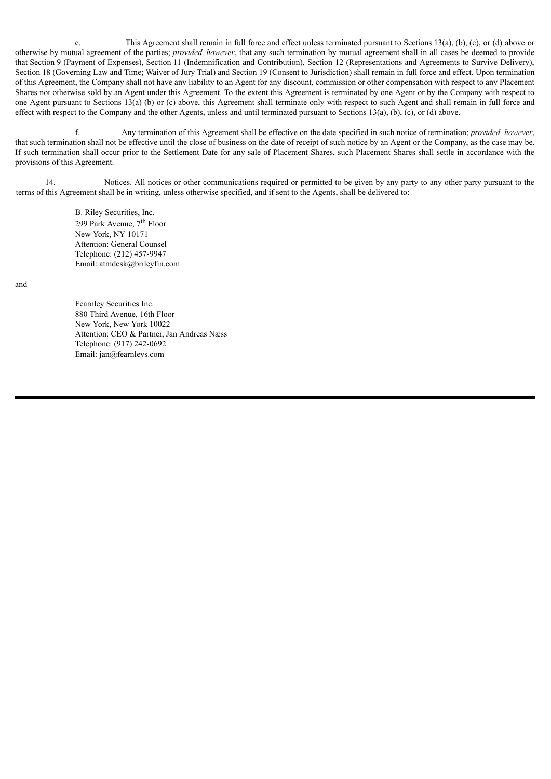e. This Agreement shall remain in full force and effect unless terminated pursuant to Sections  $13(a)$ ,  $(b)$ ,  $(c)$ , or  $(d)$  above or otherwise by mutual agreement of the parties; *provided, however*, that any such termination by mutual agreement shall in all cases be deemed to provide that Section 9 (Payment of Expenses), Section 11 (Indemnification and Contribution), Section 12 (Representations and Agreements to Survive Delivery), Section 18 (Governing Law and Time; Waiver of Jury Trial) and Section 19 (Consent to Jurisdiction) shall remain in full force and effect. Upon termination of this Agreement, the Company shall not have any liability to an Agent for any discount, commission or other compensation with respect to any Placement Shares not otherwise sold by an Agent under this Agreement. To the extent this Agreement is terminated by one Agent or by the Company with respect to one Agent pursuant to Sections 13(a) (b) or (c) above, this Agreement shall terminate only with respect to such Agent and shall remain in full force and effect with respect to the Company and the other Agents, unless and until terminated pursuant to Sections 13(a), (b), (c), or (d) above.

f. Any termination of this Agreement shall be effective on the date specified in such notice of termination; *provided, however*, that such termination shall not be effective until the close of business on the date of receipt of such notice by an Agent or the Company, as the case may be. If such termination shall occur prior to the Settlement Date for any sale of Placement Shares, such Placement Shares shall settle in accordance with the provisions of this Agreement.

14. Notices. All notices or other communications required or permitted to be given by any party to any other party pursuant to the terms of this Agreement shall be in writing, unless otherwise specified, and if sent to the Agents, shall be delivered to:

> B. Riley Securities, Inc. 299 Park Avenue, 7<sup>th</sup> Floor New York, NY 10171 Attention: General Counsel Telephone: (212) 457-9947 Email: atmdesk@brileyfin.com

and

Fearnley Securities Inc. 880 Third Avenue, 16th Floor New York, New York 10022 Attention: CEO & Partner, Jan Andreas Næss Telephone: (917) 242-0692 Email: jan@fearnleys.com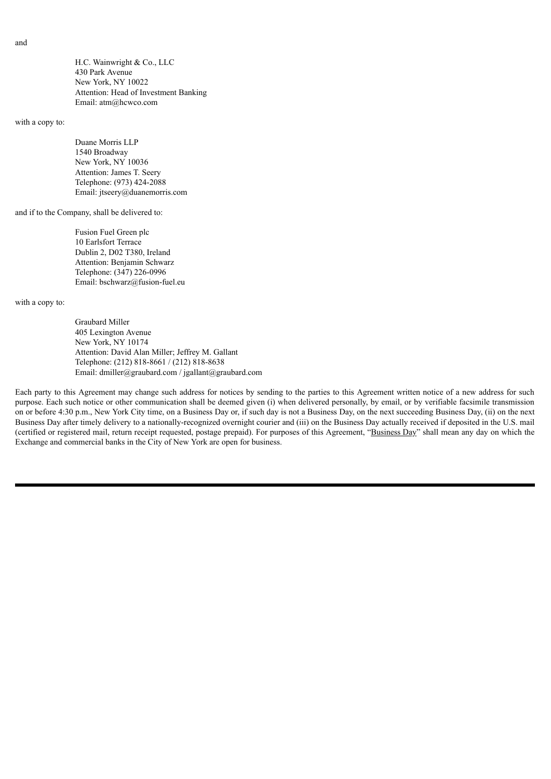H.C. Wainwright & Co., LLC 430 Park Avenue New York, NY 10022 Attention: Head of Investment Banking Email: atm@hcwco.com

with a copy to:

Duane Morris LLP 1540 Broadway New York, NY 10036 Attention: James T. Seery Telephone: (973) 424-2088 Email: jtseery@duanemorris.com

and if to the Company, shall be delivered to:

Fusion Fuel Green plc 10 Earlsfort Terrace Dublin 2, D02 T380, Ireland Attention: Benjamin Schwarz Telephone: (347) 226-0996 Email: bschwarz@fusion-fuel.eu

with a copy to:

Graubard Miller 405 Lexington Avenue New York, NY 10174 Attention: David Alan Miller; Jeffrey M. Gallant Telephone: (212) 818-8661 / (212) 818-8638 Email: dmiller@graubard.com / jgallant@graubard.com

Each party to this Agreement may change such address for notices by sending to the parties to this Agreement written notice of a new address for such purpose. Each such notice or other communication shall be deemed given (i) when delivered personally, by email, or by verifiable facsimile transmission on or before 4:30 p.m., New York City time, on a Business Day or, if such day is not a Business Day, on the next succeeding Business Day, (ii) on the next Business Day after timely delivery to a nationally-recognized overnight courier and (iii) on the Business Day actually received if deposited in the U.S. mail (certified or registered mail, return receipt requested, postage prepaid). For purposes of this Agreement, "Business Day" shall mean any day on which the Exchange and commercial banks in the City of New York are open for business.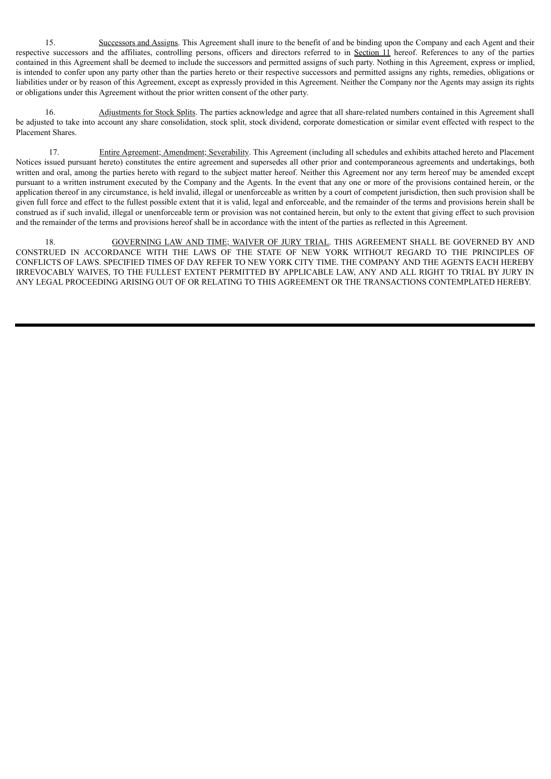15. Successors and Assigns. This Agreement shall inure to the benefit of and be binding upon the Company and each Agent and their respective successors and the affiliates, controlling persons, officers and directors referred to in Section 11 hereof. References to any of the parties contained in this Agreement shall be deemed to include the successors and permitted assigns of such party. Nothing in this Agreement, express or implied, is intended to confer upon any party other than the parties hereto or their respective successors and permitted assigns any rights, remedies, obligations or liabilities under or by reason of this Agreement, except as expressly provided in this Agreement. Neither the Company nor the Agents may assign its rights or obligations under this Agreement without the prior written consent of the other party.

16. Adjustments for Stock Splits. The parties acknowledge and agree that all share-related numbers contained in this Agreement shall be adjusted to take into account any share consolidation, stock split, stock dividend, corporate domestication or similar event effected with respect to the Placement Shares.

17. Entire Agreement; Amendment; Severability. This Agreement (including all schedules and exhibits attached hereto and Placement Notices issued pursuant hereto) constitutes the entire agreement and supersedes all other prior and contemporaneous agreements and undertakings, both written and oral, among the parties hereto with regard to the subject matter hereof. Neither this Agreement nor any term hereof may be amended except pursuant to a written instrument executed by the Company and the Agents. In the event that any one or more of the provisions contained herein, or the application thereof in any circumstance, is held invalid, illegal or unenforceable as written by a court of competent jurisdiction, then such provision shall be given full force and effect to the fullest possible extent that it is valid, legal and enforceable, and the remainder of the terms and provisions herein shall be construed as if such invalid, illegal or unenforceable term or provision was not contained herein, but only to the extent that giving effect to such provision and the remainder of the terms and provisions hereof shall be in accordance with the intent of the parties as reflected in this Agreement.

18. GOVERNING LAW AND TIME; WAIVER OF JURY TRIAL. THIS AGREEMENT SHALL BE GOVERNED BY AND CONSTRUED IN ACCORDANCE WITH THE LAWS OF THE STATE OF NEW YORK WITHOUT REGARD TO THE PRINCIPLES OF CONFLICTS OF LAWS. SPECIFIED TIMES OF DAY REFER TO NEW YORK CITY TIME. THE COMPANY AND THE AGENTS EACH HEREBY IRREVOCABLY WAIVES, TO THE FULLEST EXTENT PERMITTED BY APPLICABLE LAW, ANY AND ALL RIGHT TO TRIAL BY JURY IN ANY LEGAL PROCEEDING ARISING OUT OF OR RELATING TO THIS AGREEMENT OR THE TRANSACTIONS CONTEMPLATED HEREBY.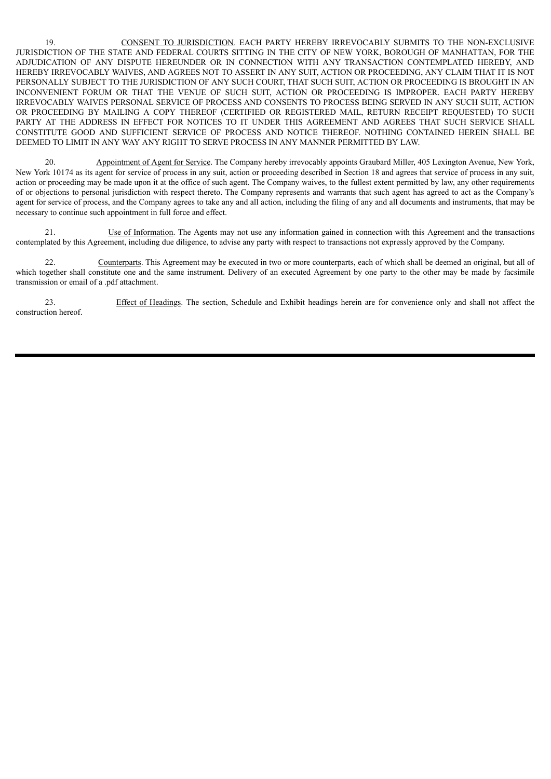19. CONSENT TO JURISDICTION. EACH PARTY HEREBY IRREVOCABLY SUBMITS TO THE NON-EXCLUSIVE JURISDICTION OF THE STATE AND FEDERAL COURTS SITTING IN THE CITY OF NEW YORK, BOROUGH OF MANHATTAN, FOR THE ADJUDICATION OF ANY DISPUTE HEREUNDER OR IN CONNECTION WITH ANY TRANSACTION CONTEMPLATED HEREBY, AND HEREBY IRREVOCABLY WAIVES, AND AGREES NOT TO ASSERT IN ANY SUIT, ACTION OR PROCEEDING, ANY CLAIM THAT IT IS NOT PERSONALLY SUBJECT TO THE JURISDICTION OF ANY SUCH COURT, THAT SUCH SUIT, ACTION OR PROCEEDING IS BROUGHT IN AN INCONVENIENT FORUM OR THAT THE VENUE OF SUCH SUIT, ACTION OR PROCEEDING IS IMPROPER. EACH PARTY HEREBY IRREVOCABLY WAIVES PERSONAL SERVICE OF PROCESS AND CONSENTS TO PROCESS BEING SERVED IN ANY SUCH SUIT, ACTION OR PROCEEDING BY MAILING A COPY THEREOF (CERTIFIED OR REGISTERED MAIL, RETURN RECEIPT REQUESTED) TO SUCH PARTY AT THE ADDRESS IN EFFECT FOR NOTICES TO IT UNDER THIS AGREEMENT AND AGREES THAT SUCH SERVICE SHALL CONSTITUTE GOOD AND SUFFICIENT SERVICE OF PROCESS AND NOTICE THEREOF. NOTHING CONTAINED HEREIN SHALL BE DEEMED TO LIMIT IN ANY WAY ANY RIGHT TO SERVE PROCESS IN ANY MANNER PERMITTED BY LAW.

20. Appointment of Agent for Service. The Company hereby irrevocably appoints Graubard Miller, 405 Lexington Avenue, New York, New York 10174 as its agent for service of process in any suit, action or proceeding described in Section 18 and agrees that service of process in any suit, action or proceeding may be made upon it at the office of such agent. The Company waives, to the fullest extent permitted by law, any other requirements of or objections to personal jurisdiction with respect thereto. The Company represents and warrants that such agent has agreed to act as the Company's agent for service of process, and the Company agrees to take any and all action, including the filing of any and all documents and instruments, that may be necessary to continue such appointment in full force and effect.

21. Use of Information. The Agents may not use any information gained in connection with this Agreement and the transactions contemplated by this Agreement, including due diligence, to advise any party with respect to transactions not expressly approved by the Company.

22. Counterparts. This Agreement may be executed in two or more counterparts, each of which shall be deemed an original, but all of which together shall constitute one and the same instrument. Delivery of an executed Agreement by one party to the other may be made by facsimile transmission or email of a .pdf attachment.

23. Effect of Headings. The section, Schedule and Exhibit headings herein are for convenience only and shall not affect the construction hereof.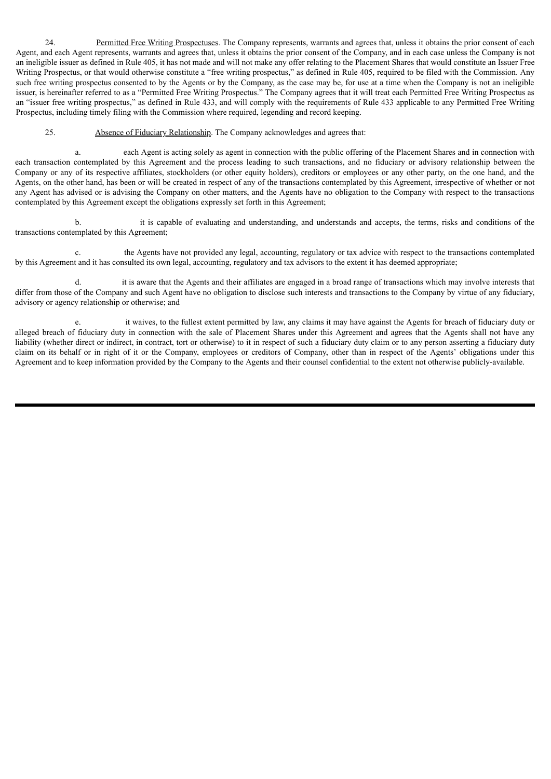24. Permitted Free Writing Prospectuses. The Company represents, warrants and agrees that, unless it obtains the prior consent of each Agent, and each Agent represents, warrants and agrees that, unless it obtains the prior consent of the Company, and in each case unless the Company is not an ineligible issuer as defined in Rule 405, it has not made and will not make any offer relating to the Placement Shares that would constitute an Issuer Free Writing Prospectus, or that would otherwise constitute a "free writing prospectus," as defined in Rule 405, required to be filed with the Commission. Any such free writing prospectus consented to by the Agents or by the Company, as the case may be, for use at a time when the Company is not an ineligible issuer, is hereinafter referred to as a "Permitted Free Writing Prospectus." The Company agrees that it will treat each Permitted Free Writing Prospectus as an "issuer free writing prospectus," as defined in Rule 433, and will comply with the requirements of Rule 433 applicable to any Permitted Free Writing Prospectus, including timely filing with the Commission where required, legending and record keeping.

25. Absence of Fiduciary Relationship. The Company acknowledges and agrees that:

a. each Agent is acting solely as agent in connection with the public offering of the Placement Shares and in connection with each transaction contemplated by this Agreement and the process leading to such transactions, and no fiduciary or advisory relationship between the Company or any of its respective affiliates, stockholders (or other equity holders), creditors or employees or any other party, on the one hand, and the Agents, on the other hand, has been or will be created in respect of any of the transactions contemplated by this Agreement, irrespective of whether or not any Agent has advised or is advising the Company on other matters, and the Agents have no obligation to the Company with respect to the transactions contemplated by this Agreement except the obligations expressly set forth in this Agreement;

b. it is capable of evaluating and understanding, and understands and accepts, the terms, risks and conditions of the transactions contemplated by this Agreement;

c. the Agents have not provided any legal, accounting, regulatory or tax advice with respect to the transactions contemplated by this Agreement and it has consulted its own legal, accounting, regulatory and tax advisors to the extent it has deemed appropriate;

d. it is aware that the Agents and their affiliates are engaged in a broad range of transactions which may involve interests that differ from those of the Company and such Agent have no obligation to disclose such interests and transactions to the Company by virtue of any fiduciary, advisory or agency relationship or otherwise; and

e. it waives, to the fullest extent permitted by law, any claims it may have against the Agents for breach of fiduciary duty or alleged breach of fiduciary duty in connection with the sale of Placement Shares under this Agreement and agrees that the Agents shall not have any liability (whether direct or indirect, in contract, tort or otherwise) to it in respect of such a fiduciary duty claim or to any person asserting a fiduciary duty claim on its behalf or in right of it or the Company, employees or creditors of Company, other than in respect of the Agents' obligations under this Agreement and to keep information provided by the Company to the Agents and their counsel confidential to the extent not otherwise publicly-available.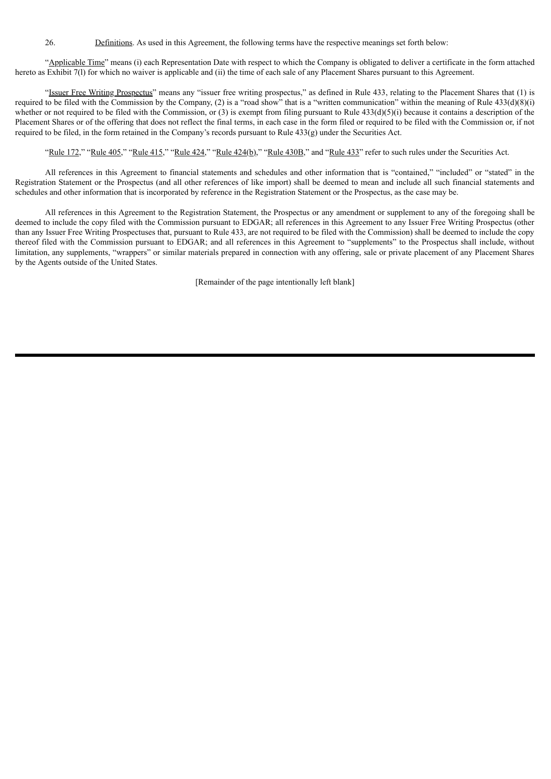26. Definitions. As used in this Agreement, the following terms have the respective meanings set forth below:

"Applicable Time" means (i) each Representation Date with respect to which the Company is obligated to deliver a certificate in the form attached hereto as Exhibit 7(1) for which no waiver is applicable and (ii) the time of each sale of any Placement Shares pursuant to this Agreement.

"Issuer Free Writing Prospectus" means any "issuer free writing prospectus," as defined in Rule 433, relating to the Placement Shares that (1) is required to be filed with the Commission by the Company, (2) is a "road show" that is a "written communication" within the meaning of Rule  $433(d)(8)(i)$ whether or not required to be filed with the Commission, or (3) is exempt from filing pursuant to Rule  $433(d)(5)(i)$  because it contains a description of the Placement Shares or of the offering that does not reflect the final terms, in each case in the form filed or required to be filed with the Commission or, if not required to be filed, in the form retained in the Company's records pursuant to Rule 433(g) under the Securities Act.

"Rule 172," "Rule 405," "Rule 415," "Rule 424," "Rule 424(b)," "Rule 430B," and "Rule 433" refer to such rules under the Securities Act.

All references in this Agreement to financial statements and schedules and other information that is "contained," "included" or "stated" in the Registration Statement or the Prospectus (and all other references of like import) shall be deemed to mean and include all such financial statements and schedules and other information that is incorporated by reference in the Registration Statement or the Prospectus, as the case may be.

All references in this Agreement to the Registration Statement, the Prospectus or any amendment or supplement to any of the foregoing shall be deemed to include the copy filed with the Commission pursuant to EDGAR; all references in this Agreement to any Issuer Free Writing Prospectus (other than any Issuer Free Writing Prospectuses that, pursuant to Rule 433, are not required to be filed with the Commission) shall be deemed to include the copy thereof filed with the Commission pursuant to EDGAR; and all references in this Agreement to "supplements" to the Prospectus shall include, without limitation, any supplements, "wrappers" or similar materials prepared in connection with any offering, sale or private placement of any Placement Shares by the Agents outside of the United States.

[Remainder of the page intentionally left blank]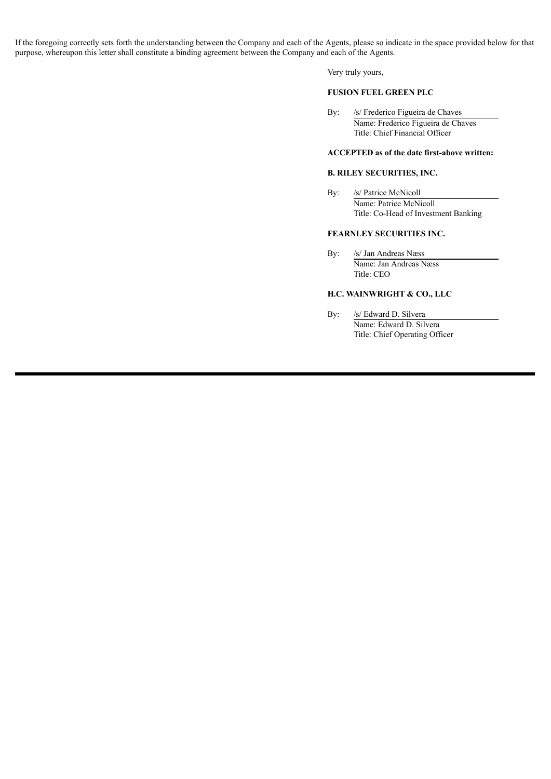If the foregoing correctly sets forth the understanding between the Company and each of the Agents, please so indicate in the space provided below for that purpose, whereupon this letter shall constitute a binding agreement between the Company and each of the Agents.

Very truly yours,

# **FUSION FUEL GREEN PLC**

By: /s/ Frederico Figueira de Chaves Name: Frederico Figueira de Chaves Title: Chief Financial Officer

## **ACCEPTED as of the date first-above written:**

# **B. RILEY SECURITIES, INC.**

By: /s/ Patrice McNicoll Name: Patrice McNicoll Title: Co-Head of Investment Banking

#### **FEARNLEY SECURITIES INC.**

By: /s/ Jan Andreas Næss Name: Jan Andreas Næss Title: CEO

# **H.C. WAINWRIGHT & CO., LLC**

By: /s/ Edward D. Silvera Name: Edward D. Silvera Title: Chief Operating Officer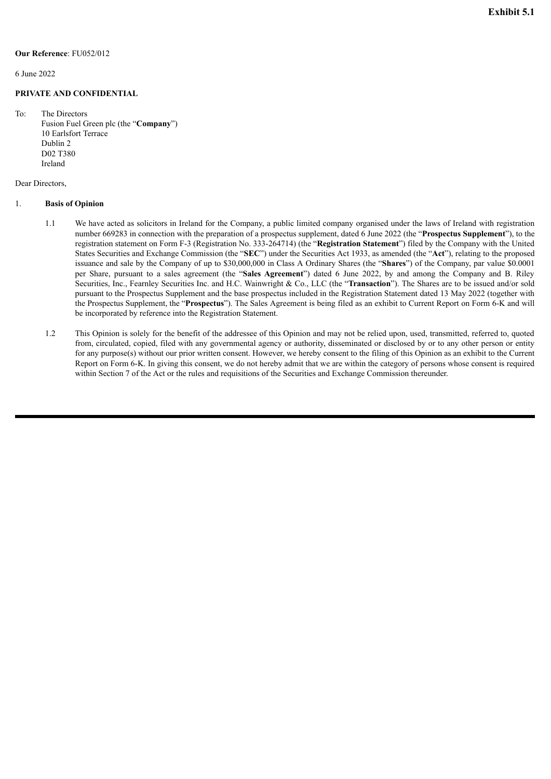<span id="page-41-0"></span>6 June 2022

#### **PRIVATE AND CONFIDENTIAL**

To: The Directors Fusion Fuel Green plc (the "**Company**") 10 Earlsfort Terrace Dublin 2 D02 T380 Ireland

#### Dear Directors,

#### 1. **Basis of Opinion**

- 1.1 We have acted as solicitors in Ireland for the Company, a public limited company organised under the laws of Ireland with registration number 669283 in connection with the preparation of a prospectus supplement, dated 6 June 2022 (the "**Prospectus Supplement**"), to the registration statement on Form F-3 (Registration No. 333-264714) (the "**Registration Statement**") filed by the Company with the United States Securities and Exchange Commission (the "**SEC**") under the Securities Act 1933, as amended (the "**Act**"), relating to the proposed issuance and sale by the Company of up to \$30,000,000 in Class A Ordinary Shares (the "**Shares**") of the Company, par value \$0.0001 per Share, pursuant to a sales agreement (the "**Sales Agreement**") dated 6 June 2022, by and among the Company and B. Riley Securities, Inc., Fearnley Securities Inc. and H.C. Wainwright & Co., LLC (the "**Transaction**"). The Shares are to be issued and/or sold pursuant to the Prospectus Supplement and the base prospectus included in the Registration Statement dated 13 May 2022 (together with the Prospectus Supplement, the "**Prospectus**"). The Sales Agreement is being filed as an exhibit to Current Report on Form 6-K and will be incorporated by reference into the Registration Statement.
- 1.2 This Opinion is solely for the benefit of the addressee of this Opinion and may not be relied upon, used, transmitted, referred to, quoted from, circulated, copied, filed with any governmental agency or authority, disseminated or disclosed by or to any other person or entity for any purpose(s) without our prior written consent. However, we hereby consent to the filing of this Opinion as an exhibit to the Current Report on Form 6-K. In giving this consent, we do not hereby admit that we are within the category of persons whose consent is required within Section 7 of the Act or the rules and requisitions of the Securities and Exchange Commission thereunder.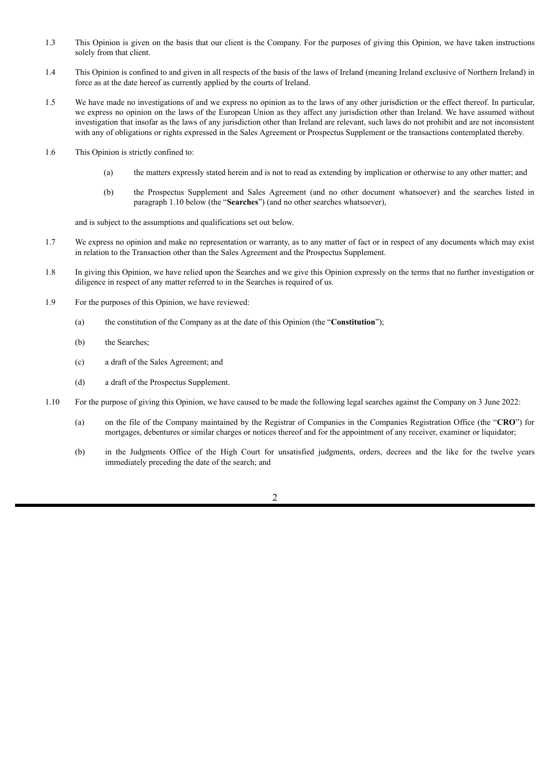- 1.3 This Opinion is given on the basis that our client is the Company. For the purposes of giving this Opinion, we have taken instructions solely from that client.
- 1.4 This Opinion is confined to and given in all respects of the basis of the laws of Ireland (meaning Ireland exclusive of Northern Ireland) in force as at the date hereof as currently applied by the courts of Ireland.
- 1.5 We have made no investigations of and we express no opinion as to the laws of any other jurisdiction or the effect thereof. In particular, we express no opinion on the laws of the European Union as they affect any jurisdiction other than Ireland. We have assumed without investigation that insofar as the laws of any jurisdiction other than Ireland are relevant, such laws do not prohibit and are not inconsistent with any of obligations or rights expressed in the Sales Agreement or Prospectus Supplement or the transactions contemplated thereby.
- 1.6 This Opinion is strictly confined to:
	- (a) the matters expressly stated herein and is not to read as extending by implication or otherwise to any other matter; and
	- (b) the Prospectus Supplement and Sales Agreement (and no other document whatsoever) and the searches listed in paragraph 1.10 below (the "**Searches**") (and no other searches whatsoever),

and is subject to the assumptions and qualifications set out below.

- 1.7 We express no opinion and make no representation or warranty, as to any matter of fact or in respect of any documents which may exist in relation to the Transaction other than the Sales Agreement and the Prospectus Supplement.
- 1.8 In giving this Opinion, we have relied upon the Searches and we give this Opinion expressly on the terms that no further investigation or diligence in respect of any matter referred to in the Searches is required of us.
- 1.9 For the purposes of this Opinion, we have reviewed:
	- (a) the constitution of the Company as at the date of this Opinion (the "**Constitution**");
	- (b) the Searches;
	- (c) a draft of the Sales Agreement; and
	- (d) a draft of the Prospectus Supplement.
- 1.10 For the purpose of giving this Opinion, we have caused to be made the following legal searches against the Company on 3 June 2022:
	- (a) on the file of the Company maintained by the Registrar of Companies in the Companies Registration Office (the "**CRO**") for mortgages, debentures or similar charges or notices thereof and for the appointment of any receiver, examiner or liquidator;
	- (b) in the Judgments Office of the High Court for unsatisfied judgments, orders, decrees and the like for the twelve years immediately preceding the date of the search; and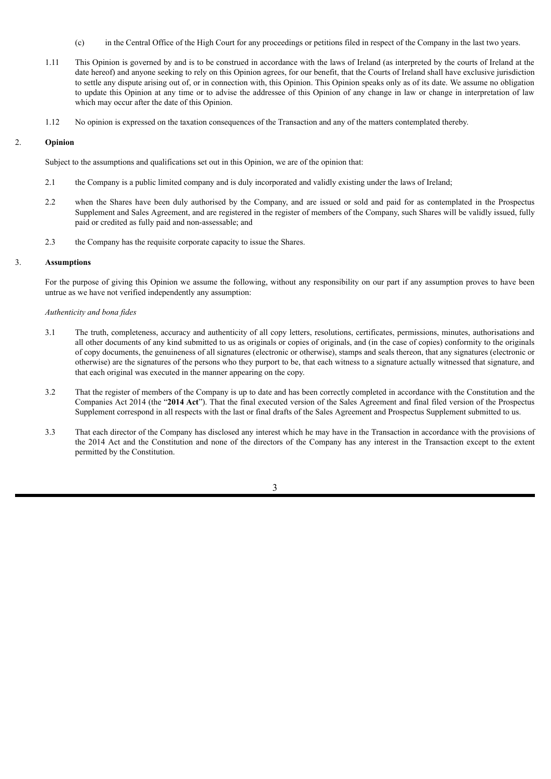- (c) in the Central Office of the High Court for any proceedings or petitions filed in respect of the Company in the last two years.
- 1.11 This Opinion is governed by and is to be construed in accordance with the laws of Ireland (as interpreted by the courts of Ireland at the date hereof) and anyone seeking to rely on this Opinion agrees, for our benefit, that the Courts of Ireland shall have exclusive jurisdiction to settle any dispute arising out of, or in connection with, this Opinion. This Opinion speaks only as of its date. We assume no obligation to update this Opinion at any time or to advise the addressee of this Opinion of any change in law or change in interpretation of law which may occur after the date of this Opinion.
- 1.12 No opinion is expressed on the taxation consequences of the Transaction and any of the matters contemplated thereby.

#### 2. **Opinion**

Subject to the assumptions and qualifications set out in this Opinion, we are of the opinion that:

- 2.1 the Company is a public limited company and is duly incorporated and validly existing under the laws of Ireland;
- 2.2 when the Shares have been duly authorised by the Company, and are issued or sold and paid for as contemplated in the Prospectus Supplement and Sales Agreement, and are registered in the register of members of the Company, such Shares will be validly issued, fully paid or credited as fully paid and non-assessable; and
- 2.3 the Company has the requisite corporate capacity to issue the Shares.

# 3. **Assumptions**

For the purpose of giving this Opinion we assume the following, without any responsibility on our part if any assumption proves to have been untrue as we have not verified independently any assumption:

## *Authenticity and bona fides*

- 3.1 The truth, completeness, accuracy and authenticity of all copy letters, resolutions, certificates, permissions, minutes, authorisations and all other documents of any kind submitted to us as originals or copies of originals, and (in the case of copies) conformity to the originals of copy documents, the genuineness of all signatures (electronic or otherwise), stamps and seals thereon, that any signatures (electronic or otherwise) are the signatures of the persons who they purport to be, that each witness to a signature actually witnessed that signature, and that each original was executed in the manner appearing on the copy.
- 3.2 That the register of members of the Company is up to date and has been correctly completed in accordance with the Constitution and the Companies Act 2014 (the "**2014 Act**"). That the final executed version of the Sales Agreement and final filed version of the Prospectus Supplement correspond in all respects with the last or final drafts of the Sales Agreement and Prospectus Supplement submitted to us.
- 3.3 That each director of the Company has disclosed any interest which he may have in the Transaction in accordance with the provisions of the 2014 Act and the Constitution and none of the directors of the Company has any interest in the Transaction except to the extent permitted by the Constitution.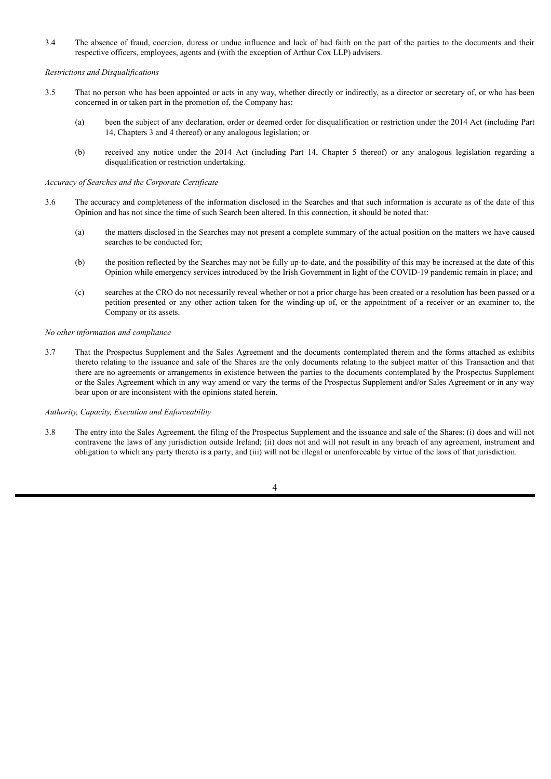3.4 The absence of fraud, coercion, duress or undue influence and lack of bad faith on the part of the parties to the documents and their respective officers, employees, agents and (with the exception of Arthur Cox LLP) advisers.

#### *Restrictions and Disqualifications*

- 3.5 That no person who has been appointed or acts in any way, whether directly or indirectly, as a director or secretary of, or who has been concerned in or taken part in the promotion of, the Company has:
	- (a) been the subject of any declaration, order or deemed order for disqualification or restriction under the 2014 Act (including Part 14, Chapters 3 and 4 thereof) or any analogous legislation; or
	- (b) received any notice under the 2014 Act (including Part 14, Chapter 5 thereof) or any analogous legislation regarding a disqualification or restriction undertaking.

#### *Accuracy of Searches and the Corporate Certificate*

- 3.6 The accuracy and completeness of the information disclosed in the Searches and that such information is accurate as of the date of this Opinion and has not since the time of such Search been altered. In this connection, it should be noted that:
	- (a) the matters disclosed in the Searches may not present a complete summary of the actual position on the matters we have caused searches to be conducted for;
	- (b) the position reflected by the Searches may not be fully up-to-date, and the possibility of this may be increased at the date of this Opinion while emergency services introduced by the Irish Government in light of the COVID-19 pandemic remain in place; and
	- (c) searches at the CRO do not necessarily reveal whether or not a prior charge has been created or a resolution has been passed or a petition presented or any other action taken for the winding-up of, or the appointment of a receiver or an examiner to, the Company or its assets.

## *No other information and compliance*

3.7 That the Prospectus Supplement and the Sales Agreement and the documents contemplated therein and the forms attached as exhibits thereto relating to the issuance and sale of the Shares are the only documents relating to the subject matter of this Transaction and that there are no agreements or arrangements in existence between the parties to the documents contemplated by the Prospectus Supplement or the Sales Agreement which in any way amend or vary the terms of the Prospectus Supplement and/or Sales Agreement or in any way bear upon or are inconsistent with the opinions stated herein.

## *Authority, Capacity, Execution and Enforceability*

3.8 The entry into the Sales Agreement, the filing of the Prospectus Supplement and the issuance and sale of the Shares: (i) does and will not contravene the laws of any jurisdiction outside Ireland; (ii) does not and will not result in any breach of any agreement, instrument and obligation to which any party thereto is a party; and (iii) will not be illegal or unenforceable by virtue of the laws of that jurisdiction.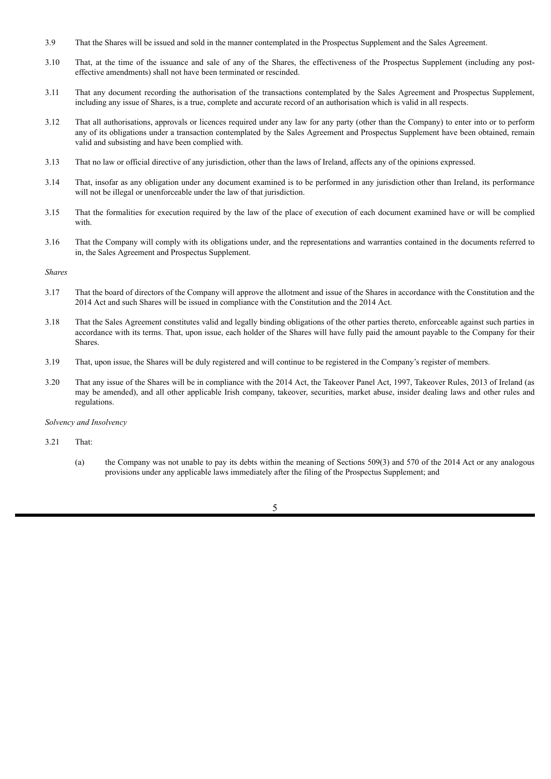- 3.9 That the Shares will be issued and sold in the manner contemplated in the Prospectus Supplement and the Sales Agreement.
- 3.10 That, at the time of the issuance and sale of any of the Shares, the effectiveness of the Prospectus Supplement (including any posteffective amendments) shall not have been terminated or rescinded.
- 3.11 That any document recording the authorisation of the transactions contemplated by the Sales Agreement and Prospectus Supplement, including any issue of Shares, is a true, complete and accurate record of an authorisation which is valid in all respects.
- 3.12 That all authorisations, approvals or licences required under any law for any party (other than the Company) to enter into or to perform any of its obligations under a transaction contemplated by the Sales Agreement and Prospectus Supplement have been obtained, remain valid and subsisting and have been complied with.
- 3.13 That no law or official directive of any jurisdiction, other than the laws of Ireland, affects any of the opinions expressed.
- 3.14 That, insofar as any obligation under any document examined is to be performed in any jurisdiction other than Ireland, its performance will not be illegal or unenforceable under the law of that jurisdiction.
- 3.15 That the formalities for execution required by the law of the place of execution of each document examined have or will be complied with.
- 3.16 That the Company will comply with its obligations under, and the representations and warranties contained in the documents referred to in, the Sales Agreement and Prospectus Supplement.

#### *Shares*

- 3.17 That the board of directors of the Company will approve the allotment and issue of the Shares in accordance with the Constitution and the 2014 Act and such Shares will be issued in compliance with the Constitution and the 2014 Act.
- 3.18 That the Sales Agreement constitutes valid and legally binding obligations of the other parties thereto, enforceable against such parties in accordance with its terms. That, upon issue, each holder of the Shares will have fully paid the amount payable to the Company for their **Shares**.
- 3.19 That, upon issue, the Shares will be duly registered and will continue to be registered in the Company's register of members.
- 3.20 That any issue of the Shares will be in compliance with the 2014 Act, the Takeover Panel Act, 1997, Takeover Rules, 2013 of Ireland (as may be amended), and all other applicable Irish company, takeover, securities, market abuse, insider dealing laws and other rules and regulations.

#### *Solvency and Insolvency*

- 3.21 That:
	- (a) the Company was not unable to pay its debts within the meaning of Sections 509(3) and 570 of the 2014 Act or any analogous provisions under any applicable laws immediately after the filing of the Prospectus Supplement; and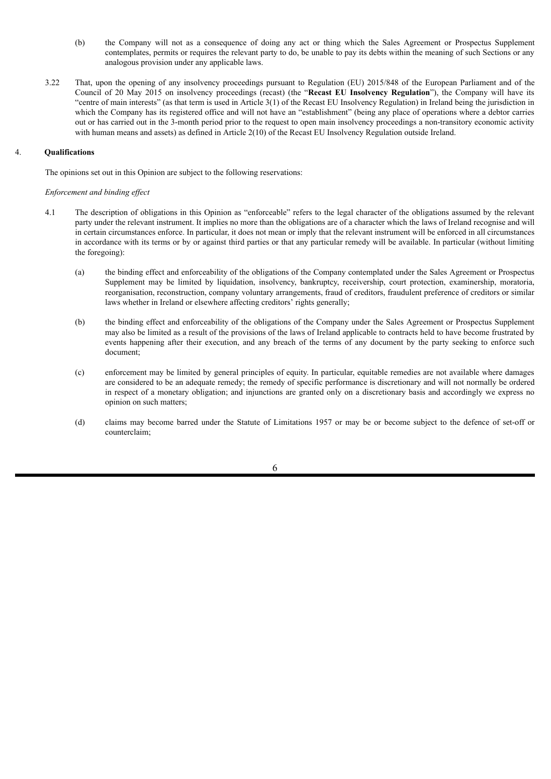- (b) the Company will not as a consequence of doing any act or thing which the Sales Agreement or Prospectus Supplement contemplates, permits or requires the relevant party to do, be unable to pay its debts within the meaning of such Sections or any analogous provision under any applicable laws.
- 3.22 That, upon the opening of any insolvency proceedings pursuant to Regulation (EU) 2015/848 of the European Parliament and of the Council of 20 May 2015 on insolvency proceedings (recast) (the "**Recast EU Insolvency Regulation**"), the Company will have its "centre of main interests" (as that term is used in Article 3(1) of the Recast EU Insolvency Regulation) in Ireland being the jurisdiction in which the Company has its registered office and will not have an "establishment" (being any place of operations where a debtor carries out or has carried out in the 3-month period prior to the request to open main insolvency proceedings a non-transitory economic activity with human means and assets) as defined in Article 2(10) of the Recast EU Insolvency Regulation outside Ireland.

# 4. **Qualifications**

The opinions set out in this Opinion are subject to the following reservations:

## *Enforcement and binding ef ect*

- 4.1 The description of obligations in this Opinion as "enforceable" refers to the legal character of the obligations assumed by the relevant party under the relevant instrument. It implies no more than the obligations are of a character which the laws of Ireland recognise and will in certain circumstances enforce. In particular, it does not mean or imply that the relevant instrument will be enforced in all circumstances in accordance with its terms or by or against third parties or that any particular remedy will be available. In particular (without limiting the foregoing):
	- (a) the binding effect and enforceability of the obligations of the Company contemplated under the Sales Agreement or Prospectus Supplement may be limited by liquidation, insolvency, bankruptcy, receivership, court protection, examinership, moratoria, reorganisation, reconstruction, company voluntary arrangements, fraud of creditors, fraudulent preference of creditors or similar laws whether in Ireland or elsewhere affecting creditors' rights generally;
	- (b) the binding effect and enforceability of the obligations of the Company under the Sales Agreement or Prospectus Supplement may also be limited as a result of the provisions of the laws of Ireland applicable to contracts held to have become frustrated by events happening after their execution, and any breach of the terms of any document by the party seeking to enforce such document;
	- (c) enforcement may be limited by general principles of equity. In particular, equitable remedies are not available where damages are considered to be an adequate remedy; the remedy of specific performance is discretionary and will not normally be ordered in respect of a monetary obligation; and injunctions are granted only on a discretionary basis and accordingly we express no opinion on such matters;
	- (d) claims may become barred under the Statute of Limitations 1957 or may be or become subject to the defence of set-off or counterclaim;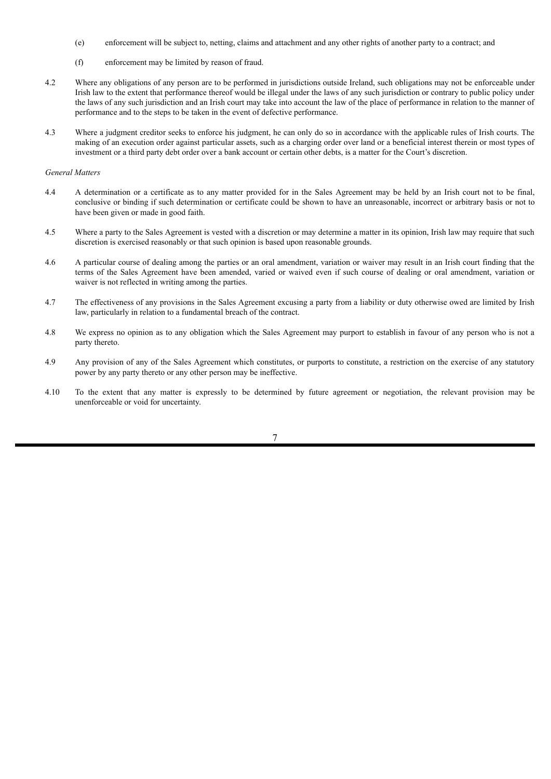- (e) enforcement will be subject to, netting, claims and attachment and any other rights of another party to a contract; and
- (f) enforcement may be limited by reason of fraud.
- 4.2 Where any obligations of any person are to be performed in jurisdictions outside Ireland, such obligations may not be enforceable under Irish law to the extent that performance thereof would be illegal under the laws of any such jurisdiction or contrary to public policy under the laws of any such jurisdiction and an Irish court may take into account the law of the place of performance in relation to the manner of performance and to the steps to be taken in the event of defective performance.
- 4.3 Where a judgment creditor seeks to enforce his judgment, he can only do so in accordance with the applicable rules of Irish courts. The making of an execution order against particular assets, such as a charging order over land or a beneficial interest therein or most types of investment or a third party debt order over a bank account or certain other debts, is a matter for the Court's discretion.

#### *General Matters*

- 4.4 A determination or a certificate as to any matter provided for in the Sales Agreement may be held by an Irish court not to be final, conclusive or binding if such determination or certificate could be shown to have an unreasonable, incorrect or arbitrary basis or not to have been given or made in good faith.
- 4.5 Where a party to the Sales Agreement is vested with a discretion or may determine a matter in its opinion, Irish law may require that such discretion is exercised reasonably or that such opinion is based upon reasonable grounds.
- 4.6 A particular course of dealing among the parties or an oral amendment, variation or waiver may result in an Irish court finding that the terms of the Sales Agreement have been amended, varied or waived even if such course of dealing or oral amendment, variation or waiver is not reflected in writing among the parties.
- 4.7 The effectiveness of any provisions in the Sales Agreement excusing a party from a liability or duty otherwise owed are limited by Irish law, particularly in relation to a fundamental breach of the contract.
- 4.8 We express no opinion as to any obligation which the Sales Agreement may purport to establish in favour of any person who is not a party thereto.
- 4.9 Any provision of any of the Sales Agreement which constitutes, or purports to constitute, a restriction on the exercise of any statutory power by any party thereto or any other person may be ineffective.
- 4.10 To the extent that any matter is expressly to be determined by future agreement or negotiation, the relevant provision may be unenforceable or void for uncertainty.